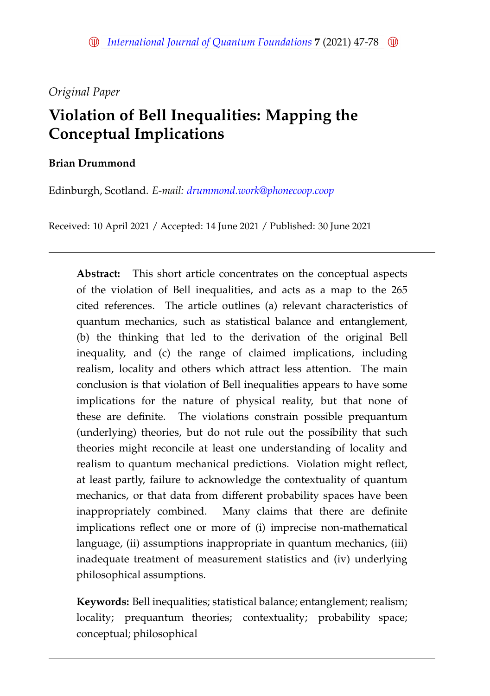# *Original Paper*

# **Violation of Bell Inequalities: Mapping the Conceptual Implications**

# **Brian Drummond**

Edinburgh, Scotland. *E-mail: <drummond.work@phonecoop.coop>*

Received: 10 April 2021 / Accepted: 14 June 2021 / Published: 30 June 2021

**Abstract:** This short article concentrates on the conceptual aspects of the violation of Bell inequalities, and acts as a map to the 265 cited references. The article outlines (a) relevant characteristics of quantum mechanics, such as statistical balance and entanglement, (b) the thinking that led to the derivation of the original Bell inequality, and (c) the range of claimed implications, including realism, locality and others which attract less attention. The main conclusion is that violation of Bell inequalities appears to have some implications for the nature of physical reality, but that none of these are definite. The violations constrain possible prequantum (underlying) theories, but do not rule out the possibility that such theories might reconcile at least one understanding of locality and realism to quantum mechanical predictions. Violation might reflect, at least partly, failure to acknowledge the contextuality of quantum mechanics, or that data from different probability spaces have been inappropriately combined. Many claims that there are definite implications reflect one or more of (i) imprecise non-mathematical language, (ii) assumptions inappropriate in quantum mechanics, (iii) inadequate treatment of measurement statistics and (iv) underlying philosophical assumptions.

**Keywords:** Bell inequalities; statistical balance; entanglement; realism; locality; prequantum theories; contextuality; probability space; conceptual; philosophical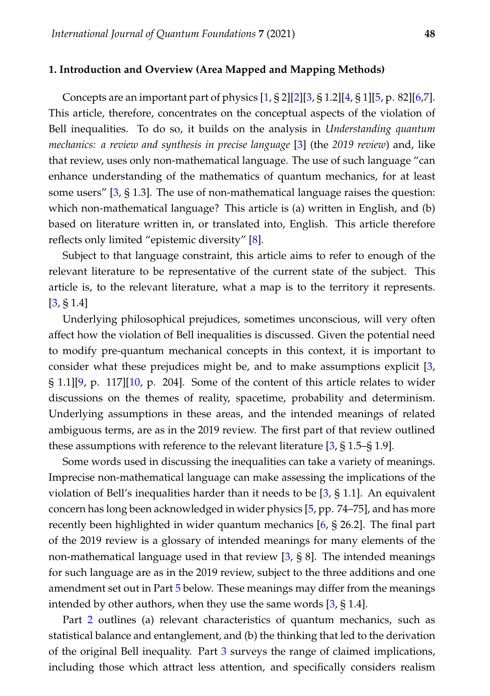### <span id="page-1-0"></span>**1. Introduction and Overview (Area Mapped and Mapping Methods)**

Concepts are an important part of physics  $[1, § 2][2][3, § 1.2][4, § 1][5, p. 82][6, 7].$  $[1, § 2][2][3, § 1.2][4, § 1][5, p. 82][6, 7].$  $[1, § 2][2][3, § 1.2][4, § 1][5, p. 82][6, 7].$  $[1, § 2][2][3, § 1.2][4, § 1][5, p. 82][6, 7].$  $[1, § 2][2][3, § 1.2][4, § 1][5, p. 82][6, 7].$  $[1, § 2][2][3, § 1.2][4, § 1][5, p. 82][6, 7].$  $[1, § 2][2][3, § 1.2][4, § 1][5, p. 82][6, 7].$  $[1, § 2][2][3, § 1.2][4, § 1][5, p. 82][6, 7].$  $[1, § 2][2][3, § 1.2][4, § 1][5, p. 82][6, 7].$  $[1, § 2][2][3, § 1.2][4, § 1][5, p. 82][6, 7].$  $[1, § 2][2][3, § 1.2][4, § 1][5, p. 82][6, 7].$  $[1, § 2][2][3, § 1.2][4, § 1][5, p. 82][6, 7].$  $[1, § 2][2][3, § 1.2][4, § 1][5, p. 82][6, 7].$ This article, therefore, concentrates on the conceptual aspects of the violation of Bell inequalities. To do so, it builds on the analysis in *Understanding quantum mechanics: a review and synthesis in precise language* [\[3\]](#page-13-2) (the *2019 review*) and, like that review, uses only non-mathematical language. The use of such language "can enhance understanding of the mathematics of quantum mechanics, for at least some users"  $[3, § 1.3]$  $[3, § 1.3]$ . The use of non-mathematical language raises the question: which non-mathematical language? This article is (a) written in English, and (b) based on literature written in, or translated into, English. This article therefore reflects only limited "epistemic diversity" [\[8\]](#page-13-7).

Subject to that language constraint, this article aims to refer to enough of the relevant literature to be representative of the current state of the subject. This article is, to the relevant literature, what a map is to the territory it represents. [\[3,](#page-13-2) § 1.4]

Underlying philosophical prejudices, sometimes unconscious, will very often affect how the violation of Bell inequalities is discussed. Given the potential need to modify pre-quantum mechanical concepts in this context, it is important to consider what these prejudices might be, and to make assumptions explicit [\[3,](#page-13-2) § 1.1][\[9,](#page-13-8) p. 117][\[10,](#page-14-0) p. 204]. Some of the content of this article relates to wider discussions on the themes of reality, spacetime, probability and determinism. Underlying assumptions in these areas, and the intended meanings of related ambiguous terms, are as in the 2019 review. The first part of that review outlined these assumptions with reference to the relevant literature [\[3,](#page-13-2) § 1.5–§ 1.9].

Some words used in discussing the inequalities can take a variety of meanings. Imprecise non-mathematical language can make assessing the implications of the violation of Bell's inequalities harder than it needs to be [\[3,](#page-13-2) § 1.1]. An equivalent concern has long been acknowledged in wider physics [\[5,](#page-13-4) pp. 74–75], and has more recently been highlighted in wider quantum mechanics [\[6,](#page-13-5) § 26.2]. The final part of the 2019 review is a glossary of intended meanings for many elements of the non-mathematical language used in that review [\[3,](#page-13-2) § 8]. The intended meanings for such language are as in the 2019 review, subject to the three additions and one amendment set out in Part [5](#page-12-0) below. These meanings may differ from the meanings intended by other authors, when they use the same words [\[3,](#page-13-2) § 1.4].

Part [2](#page-2-0) outlines (a) relevant characteristics of quantum mechanics, such as statistical balance and entanglement, and (b) the thinking that led to the derivation of the original Bell inequality. Part [3](#page-5-0) surveys the range of claimed implications, including those which attract less attention, and specifically considers realism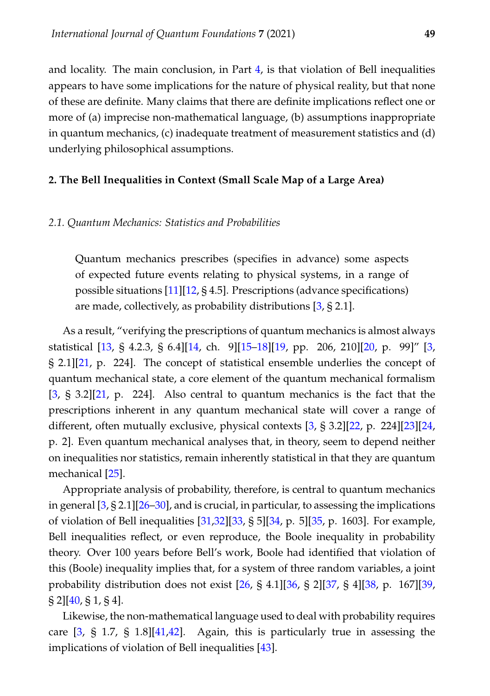and locality. The main conclusion, in Part [4,](#page-10-0) is that violation of Bell inequalities appears to have some implications for the nature of physical reality, but that none of these are definite. Many claims that there are definite implications reflect one or more of (a) imprecise non-mathematical language, (b) assumptions inappropriate in quantum mechanics, (c) inadequate treatment of measurement statistics and (d) underlying philosophical assumptions.

### <span id="page-2-0"></span>**2. The Bell Inequalities in Context (Small Scale Map of a Large Area)**

### <span id="page-2-1"></span>*2.1. Quantum Mechanics: Statistics and Probabilities*

Quantum mechanics prescribes (specifies in advance) some aspects of expected future events relating to physical systems, in a range of possible situations  $[11][12, § 4.5]$  $[11][12, § 4.5]$  $[11][12, § 4.5]$ . Prescriptions (advance specifications) are made, collectively, as probability distributions [\[3,](#page-13-2) § 2.1].

As a result, "verifying the prescriptions of quantum mechanics is almost always statistical [\[13,](#page-14-3) § 4.2.3, § 6.4][\[14,](#page-14-4) ch. 9][\[15](#page-14-5)[–18\]](#page-14-6)[\[19,](#page-14-7) pp. 206, 210][\[20,](#page-14-8) p. 99]" [\[3,](#page-13-2) § 2.1][\[21,](#page-14-9) p. 224]. The concept of statistical ensemble underlies the concept of quantum mechanical state, a core element of the quantum mechanical formalism [\[3,](#page-13-2) § 3.2][\[21,](#page-14-9) p. 224]. Also central to quantum mechanics is the fact that the prescriptions inherent in any quantum mechanical state will cover a range of different, often mutually exclusive, physical contexts [\[3,](#page-13-2) § 3.2][\[22,](#page-14-10) p. 224][\[23\]](#page-14-11)[\[24,](#page-14-12) p. 2]. Even quantum mechanical analyses that, in theory, seem to depend neither on inequalities nor statistics, remain inherently statistical in that they are quantum mechanical [\[25\]](#page-14-13).

Appropriate analysis of probability, therefore, is central to quantum mechanics in general  $[3, § 2.1][26–30]$  $[3, § 2.1][26–30]$  $[3, § 2.1][26–30]$  $[3, § 2.1][26–30]$ , and is crucial, in particular, to assessing the implications of violation of Bell inequalities [\[31,](#page-15-1)[32\]](#page-15-2)[\[33,](#page-15-3) § 5][\[34,](#page-15-4) p. 5][\[35,](#page-15-5) p. 1603]. For example, Bell inequalities reflect, or even reproduce, the Boole inequality in probability theory. Over 100 years before Bell's work, Boole had identified that violation of this (Boole) inequality implies that, for a system of three random variables, a joint probability distribution does not exist [\[26,](#page-14-14) § 4.1][\[36,](#page-15-6) § 2][\[37,](#page-15-7) § 4][\[38,](#page-15-8) p. 167][\[39,](#page-15-9)  $\S 2$ ][\[40,](#page-15-10) § 1, § 4].

Likewise, the non-mathematical language used to deal with probability requires care  $[3, §\,1.7, §\,1.8][41,42]$  $[3, §\,1.7, §\,1.8][41,42]$  $[3, §\,1.7, §\,1.8][41,42]$  $[3, §\,1.7, §\,1.8][41,42]$ . Again, this is particularly true in assessing the implications of violation of Bell inequalities [\[43\]](#page-16-1).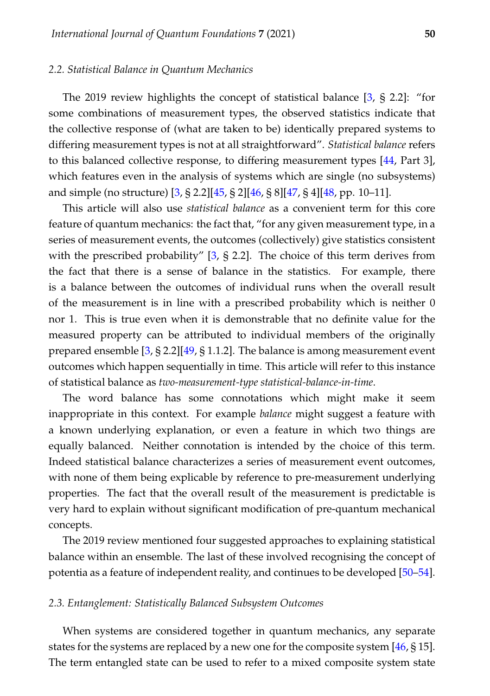### <span id="page-3-0"></span>*2.2. Statistical Balance in Quantum Mechanics*

The 2019 review highlights the concept of statistical balance [\[3,](#page-13-2) § 2.2]: "for some combinations of measurement types, the observed statistics indicate that the collective response of (what are taken to be) identically prepared systems to differing measurement types is not at all straightforward". *Statistical balance* refers to this balanced collective response, to differing measurement types [\[44,](#page-16-2) Part 3], which features even in the analysis of systems which are single (no subsystems) and simple (no structure) [\[3,](#page-13-2) § 2.2][\[45,](#page-16-3) § 2][\[46,](#page-16-4) § 8][\[47,](#page-16-5) § 4][\[48,](#page-16-6) pp. 10–11].

This article will also use *statistical balance* as a convenient term for this core feature of quantum mechanics: the fact that, "for any given measurement type, in a series of measurement events, the outcomes (collectively) give statistics consistent with the prescribed probability" [\[3,](#page-13-2) § 2.2]. The choice of this term derives from the fact that there is a sense of balance in the statistics. For example, there is a balance between the outcomes of individual runs when the overall result of the measurement is in line with a prescribed probability which is neither 0 nor 1. This is true even when it is demonstrable that no definite value for the measured property can be attributed to individual members of the originally prepared ensemble  $[3, § 2.2][49, § 1.1.2]$  $[3, § 2.2][49, § 1.1.2]$  $[3, § 2.2][49, § 1.1.2]$  $[3, § 2.2][49, § 1.1.2]$ . The balance is among measurement event outcomes which happen sequentially in time. This article will refer to this instance of statistical balance as *two-measurement-type statistical-balance-in-time*.

The word balance has some connotations which might make it seem inappropriate in this context. For example *balance* might suggest a feature with a known underlying explanation, or even a feature in which two things are equally balanced. Neither connotation is intended by the choice of this term. Indeed statistical balance characterizes a series of measurement event outcomes, with none of them being explicable by reference to pre-measurement underlying properties. The fact that the overall result of the measurement is predictable is very hard to explain without significant modification of pre-quantum mechanical concepts.

The 2019 review mentioned four suggested approaches to explaining statistical balance within an ensemble. The last of these involved recognising the concept of potentia as a feature of independent reality, and continues to be developed [\[50](#page-16-8)[–54\]](#page-17-0).

#### <span id="page-3-1"></span>*2.3. Entanglement: Statistically Balanced Subsystem Outcomes*

When systems are considered together in quantum mechanics, any separate states for the systems are replaced by a new one for the composite system [\[46,](#page-16-4) § 15]. The term entangled state can be used to refer to a mixed composite system state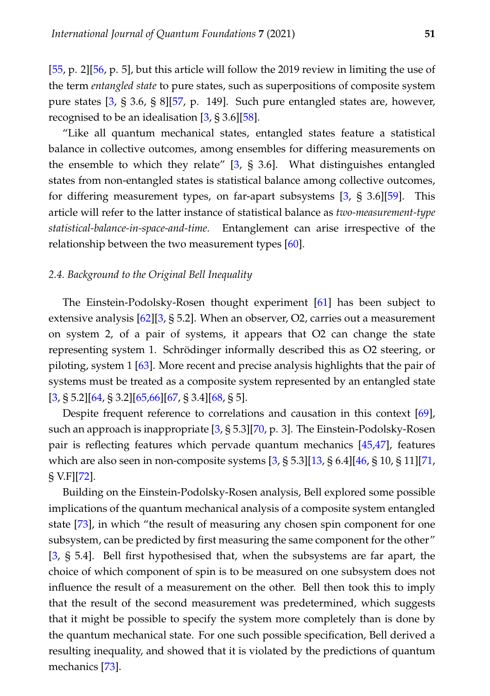[\[55,](#page-17-1) p. 2][\[56,](#page-17-2) p. 5], but this article will follow the 2019 review in limiting the use of the term *entangled state* to pure states, such as superpositions of composite system pure states [\[3,](#page-13-2) § 3.6, § 8][\[57,](#page-17-3) p. 149]. Such pure entangled states are, however, recognised to be an idealisation  $[3, § 3.6][58]$  $[3, § 3.6][58]$  $[3, § 3.6][58]$ .

"Like all quantum mechanical states, entangled states feature a statistical balance in collective outcomes, among ensembles for differing measurements on the ensemble to which they relate" [\[3,](#page-13-2) § 3.6]. What distinguishes entangled states from non-entangled states is statistical balance among collective outcomes, for differing measurement types, on far-apart subsystems [\[3,](#page-13-2) § 3.6][\[59\]](#page-17-5). This article will refer to the latter instance of statistical balance as *two-measurement-type statistical-balance-in-space-and-time*. Entanglement can arise irrespective of the relationship between the two measurement types [\[60\]](#page-17-6).

### <span id="page-4-0"></span>*2.4. Background to the Original Bell Inequality*

The Einstein-Podolsky-Rosen thought experiment [\[61\]](#page-17-7) has been subject to extensive analysis [\[62\]](#page-17-8)[\[3,](#page-13-2) § 5.2]. When an observer, O2, carries out a measurement on system 2, of a pair of systems, it appears that O2 can change the state representing system 1. Schrödinger informally described this as O2 steering, or piloting, system 1 [\[63\]](#page-17-9). More recent and precise analysis highlights that the pair of systems must be treated as a composite system represented by an entangled state  $[3, § 5.2][64, § 3.2][65,66][67, § 3.4][68, § 5].$  $[3, § 5.2][64, § 3.2][65,66][67, § 3.4][68, § 5].$  $[3, § 5.2][64, § 3.2][65,66][67, § 3.4][68, § 5].$  $[3, § 5.2][64, § 3.2][65,66][67, § 3.4][68, § 5].$  $[3, § 5.2][64, § 3.2][65,66][67, § 3.4][68, § 5].$  $[3, § 5.2][64, § 3.2][65,66][67, § 3.4][68, § 5].$  $[3, § 5.2][64, § 3.2][65,66][67, § 3.4][68, § 5].$  $[3, § 5.2][64, § 3.2][65,66][67, § 3.4][68, § 5].$  $[3, § 5.2][64, § 3.2][65,66][67, § 3.4][68, § 5].$  $[3, § 5.2][64, § 3.2][65,66][67, § 3.4][68, § 5].$ 

Despite frequent reference to correlations and causation in this context [\[69\]](#page-18-1), such an approach is inappropriate [\[3,](#page-13-2) § 5.3][\[70,](#page-18-2) p. 3]. The Einstein-Podolsky-Rosen pair is reflecting features which pervade quantum mechanics [\[45,](#page-16-3)[47\]](#page-16-5), features which are also seen in non-composite systems [\[3,](#page-13-2) § 5.3][\[13,](#page-14-3) § 6.4][\[46,](#page-16-4) § 10, § 11][\[71,](#page-18-3) § V.F][\[72\]](#page-18-4).

Building on the Einstein-Podolsky-Rosen analysis, Bell explored some possible implications of the quantum mechanical analysis of a composite system entangled state [\[73\]](#page-18-5), in which "the result of measuring any chosen spin component for one subsystem, can be predicted by first measuring the same component for the other" [\[3,](#page-13-2) § 5.4]. Bell first hypothesised that, when the subsystems are far apart, the choice of which component of spin is to be measured on one subsystem does not influence the result of a measurement on the other. Bell then took this to imply that the result of the second measurement was predetermined, which suggests that it might be possible to specify the system more completely than is done by the quantum mechanical state. For one such possible specification, Bell derived a resulting inequality, and showed that it is violated by the predictions of quantum mechanics [\[73\]](#page-18-5).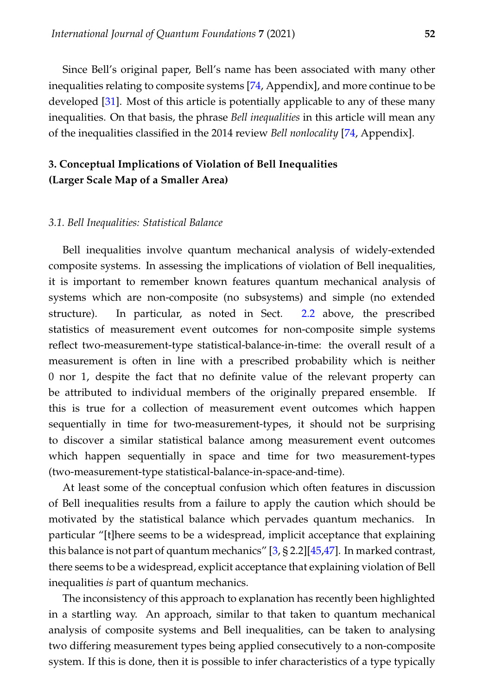Since Bell's original paper, Bell's name has been associated with many other inequalities relating to composite systems [\[74,](#page-18-6) Appendix], and more continue to be developed [\[31\]](#page-15-1). Most of this article is potentially applicable to any of these many inequalities. On that basis, the phrase *Bell inequalities* in this article will mean any of the inequalities classified in the 2014 review *Bell nonlocality* [\[74,](#page-18-6) Appendix].

# <span id="page-5-0"></span>**3. Conceptual Implications of Violation of Bell Inequalities (Larger Scale Map of a Smaller Area)**

### <span id="page-5-1"></span>*3.1. Bell Inequalities: Statistical Balance*

Bell inequalities involve quantum mechanical analysis of widely-extended composite systems. In assessing the implications of violation of Bell inequalities, it is important to remember known features quantum mechanical analysis of systems which are non-composite (no subsystems) and simple (no extended structure). In particular, as noted in Sect. [2.2](#page-3-0) above, the prescribed statistics of measurement event outcomes for non-composite simple systems reflect two-measurement-type statistical-balance-in-time: the overall result of a measurement is often in line with a prescribed probability which is neither 0 nor 1, despite the fact that no definite value of the relevant property can be attributed to individual members of the originally prepared ensemble. If this is true for a collection of measurement event outcomes which happen sequentially in time for two-measurement-types, it should not be surprising to discover a similar statistical balance among measurement event outcomes which happen sequentially in space and time for two measurement-types (two-measurement-type statistical-balance-in-space-and-time).

At least some of the conceptual confusion which often features in discussion of Bell inequalities results from a failure to apply the caution which should be motivated by the statistical balance which pervades quantum mechanics. In particular "[t]here seems to be a widespread, implicit acceptance that explaining this balance is not part of quantum mechanics" [\[3,](#page-13-2) § 2.2][\[45](#page-16-3)[,47\]](#page-16-5). In marked contrast, there seems to be a widespread, explicit acceptance that explaining violation of Bell inequalities *is* part of quantum mechanics.

The inconsistency of this approach to explanation has recently been highlighted in a startling way. An approach, similar to that taken to quantum mechanical analysis of composite systems and Bell inequalities, can be taken to analysing two differing measurement types being applied consecutively to a non-composite system. If this is done, then it is possible to infer characteristics of a type typically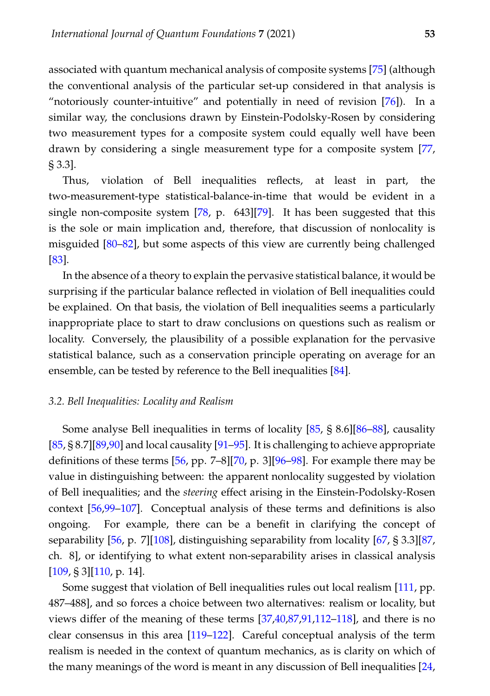associated with quantum mechanical analysis of composite systems [\[75\]](#page-18-7) (although the conventional analysis of the particular set-up considered in that analysis is "notoriously counter-intuitive" and potentially in need of revision [\[76\]](#page-18-8)). In a similar way, the conclusions drawn by Einstein-Podolsky-Rosen by considering two measurement types for a composite system could equally well have been drawn by considering a single measurement type for a composite system [\[77,](#page-18-9) § 3.3].

Thus, violation of Bell inequalities reflects, at least in part, the two-measurement-type statistical-balance-in-time that would be evident in a single non-composite system [\[78,](#page-18-10) p. 643][\[79\]](#page-18-11). It has been suggested that this is the sole or main implication and, therefore, that discussion of nonlocality is misguided [\[80](#page-18-12)[–82\]](#page-18-13), but some aspects of this view are currently being challenged [\[83\]](#page-18-14).

In the absence of a theory to explain the pervasive statistical balance, it would be surprising if the particular balance reflected in violation of Bell inequalities could be explained. On that basis, the violation of Bell inequalities seems a particularly inappropriate place to start to draw conclusions on questions such as realism or locality. Conversely, the plausibility of a possible explanation for the pervasive statistical balance, such as a conservation principle operating on average for an ensemble, can be tested by reference to the Bell inequalities [\[84\]](#page-18-15).

### <span id="page-6-0"></span>*3.2. Bell Inequalities: Locality and Realism*

Some analyse Bell inequalities in terms of locality [\[85,](#page-19-0) § 8.6][\[86–](#page-19-1)[88\]](#page-19-2), causality [\[85,](#page-19-0) § 8.7][\[89,](#page-19-3)[90\]](#page-19-4) and local causality [\[91](#page-19-5)[–95\]](#page-19-6). It is challenging to achieve appropriate definitions of these terms [\[56,](#page-17-2) pp. 7–8][\[70,](#page-18-2) p. 3][\[96](#page-19-7)[–98\]](#page-19-8). For example there may be value in distinguishing between: the apparent nonlocality suggested by violation of Bell inequalities; and the *steering* effect arising in the Einstein-Podolsky-Rosen context [\[56](#page-17-2)[,99](#page-19-9)[–107\]](#page-20-0). Conceptual analysis of these terms and definitions is also ongoing. For example, there can be a benefit in clarifying the concept of separability [\[56,](#page-17-2) p. 7][\[108\]](#page-20-1), distinguishing separability from locality [\[67,](#page-17-13) § 3.3][\[87,](#page-19-10) ch. 8], or identifying to what extent non-separability arises in classical analysis  $[109, § 3][110, p. 14].$  $[109, § 3][110, p. 14].$  $[109, § 3][110, p. 14].$  $[109, § 3][110, p. 14].$ 

Some suggest that violation of Bell inequalities rules out local realism [\[111,](#page-20-4) pp. 487–488], and so forces a choice between two alternatives: realism or locality, but views differ of the meaning of these terms [\[37](#page-15-7)[,40,](#page-15-10)[87](#page-19-10)[,91](#page-19-5)[,112](#page-20-5)[–118\]](#page-21-0), and there is no clear consensus in this area [\[119](#page-21-1)[–122\]](#page-21-2). Careful conceptual analysis of the term realism is needed in the context of quantum mechanics, as is clarity on which of the many meanings of the word is meant in any discussion of Bell inequalities [\[24,](#page-14-12)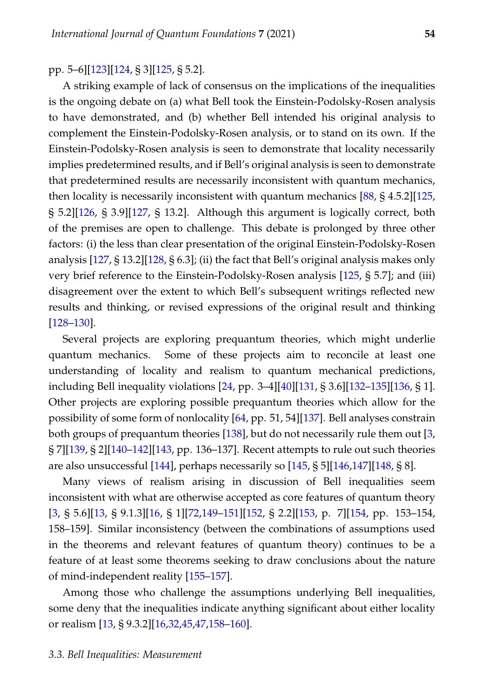pp. 5–6][\[123\]](#page-21-3)[\[124,](#page-21-4) § 3][\[125,](#page-21-5) § 5.2].

A striking example of lack of consensus on the implications of the inequalities is the ongoing debate on (a) what Bell took the Einstein-Podolsky-Rosen analysis to have demonstrated, and (b) whether Bell intended his original analysis to complement the Einstein-Podolsky-Rosen analysis, or to stand on its own. If the Einstein-Podolsky-Rosen analysis is seen to demonstrate that locality necessarily implies predetermined results, and if Bell's original analysis is seen to demonstrate that predetermined results are necessarily inconsistent with quantum mechanics, then locality is necessarily inconsistent with quantum mechanics [\[88,](#page-19-2) § 4.5.2][\[125,](#page-21-5) § 5.2][\[126,](#page-21-6) § 3.9][\[127,](#page-21-7) § 13.2]. Although this argument is logically correct, both of the premises are open to challenge. This debate is prolonged by three other factors: (i) the less than clear presentation of the original Einstein-Podolsky-Rosen analysis [\[127,](#page-21-7) § 13.2][\[128,](#page-21-8) § 6.3]; (ii) the fact that Bell's original analysis makes only very brief reference to the Einstein-Podolsky-Rosen analysis [\[125,](#page-21-5) § 5.7]; and (iii) disagreement over the extent to which Bell's subsequent writings reflected new results and thinking, or revised expressions of the original result and thinking [\[128–](#page-21-8)[130\]](#page-21-9).

Several projects are exploring prequantum theories, which might underlie quantum mechanics. Some of these projects aim to reconcile at least one understanding of locality and realism to quantum mechanical predictions, including Bell inequality violations [\[24,](#page-14-12) pp. 3–4][\[40\]](#page-15-10)[\[131,](#page-21-10) § 3.6][\[132–](#page-22-0)[135\]](#page-22-1)[\[136,](#page-22-2) § 1]. Other projects are exploring possible prequantum theories which allow for the possibility of some form of nonlocality [\[64,](#page-17-10) pp. 51, 54][\[137\]](#page-22-3). Bell analyses constrain both groups of prequantum theories [\[138\]](#page-22-4), but do not necessarily rule them out [\[3,](#page-13-2) § 7][\[139,](#page-22-5) § 2][\[140](#page-22-6)[–142\]](#page-22-7)[\[143,](#page-22-8) pp. 136–137]. Recent attempts to rule out such theories are also unsuccessful [\[144\]](#page-22-9), perhaps necessarily so [\[145,](#page-22-10) § 5][\[146,](#page-22-11)[147\]](#page-22-12)[\[148,](#page-23-0) § 8].

Many views of realism arising in discussion of Bell inequalities seem inconsistent with what are otherwise accepted as core features of quantum theory [\[3,](#page-13-2) § 5.6][\[13,](#page-14-3) § 9.1.3][\[16,](#page-14-15) § 1][\[72,](#page-18-4)[149](#page-23-1)[–151\]](#page-23-2)[\[152,](#page-23-3) § 2.2][\[153,](#page-23-4) p. 7][\[154,](#page-23-5) pp. 153–154, 158–159]. Similar inconsistency (between the combinations of assumptions used in the theorems and relevant features of quantum theory) continues to be a feature of at least some theorems seeking to draw conclusions about the nature of mind-independent reality [\[155](#page-23-6)[–157\]](#page-23-7).

<span id="page-7-0"></span>Among those who challenge the assumptions underlying Bell inequalities, some deny that the inequalities indicate anything significant about either locality or realism [\[13,](#page-14-3) § 9.3.2][\[16,](#page-14-15)[32,](#page-15-2)[45](#page-16-3)[,47,](#page-16-5)[158](#page-23-8)[–160\]](#page-24-0).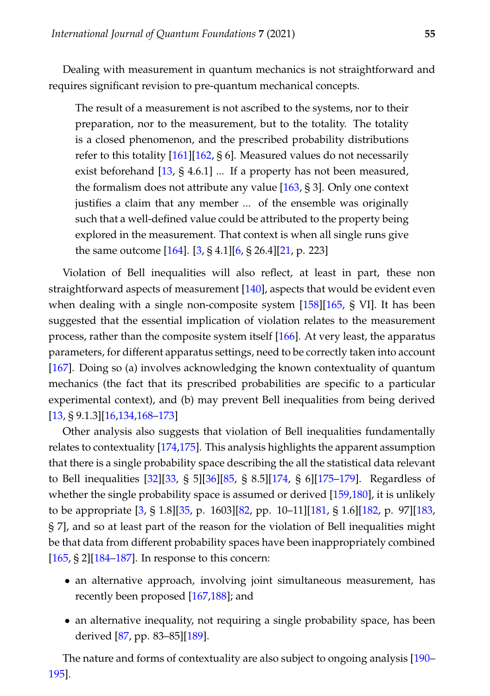Dealing with measurement in quantum mechanics is not straightforward and requires significant revision to pre-quantum mechanical concepts.

The result of a measurement is not ascribed to the systems, nor to their preparation, nor to the measurement, but to the totality. The totality is a closed phenomenon, and the prescribed probability distributions refer to this totality [\[161\]](#page-24-1)[\[162,](#page-24-2) § 6]. Measured values do not necessarily exist beforehand [\[13,](#page-14-3) § 4.6.1] ... If a property has not been measured, the formalism does not attribute any value [\[163,](#page-24-3) § 3]. Only one context justifies a claim that any member ... of the ensemble was originally such that a well-defined value could be attributed to the property being explored in the measurement. That context is when all single runs give the same outcome [\[164\]](#page-24-4). [\[3,](#page-13-2) § 4.1][\[6,](#page-13-5) § 26.4][\[21,](#page-14-9) p. 223]

Violation of Bell inequalities will also reflect, at least in part, these non straightforward aspects of measurement [\[140\]](#page-22-6), aspects that would be evident even when dealing with a single non-composite system [\[158\]](#page-23-8)[\[165,](#page-24-5) § VI]. It has been suggested that the essential implication of violation relates to the measurement process, rather than the composite system itself [\[166\]](#page-24-6). At very least, the apparatus parameters, for different apparatus settings, need to be correctly taken into account [\[167\]](#page-24-7). Doing so (a) involves acknowledging the known contextuality of quantum mechanics (the fact that its prescribed probabilities are specific to a particular experimental context), and (b) may prevent Bell inequalities from being derived [\[13,](#page-14-3) § 9.1.3][\[16,](#page-14-15)[134,](#page-22-13)[168](#page-24-8)[–173\]](#page-24-9)

Other analysis also suggests that violation of Bell inequalities fundamentally relates to contextuality [\[174](#page-24-10)[,175\]](#page-25-0). This analysis highlights the apparent assumption that there is a single probability space describing the all the statistical data relevant to Bell inequalities [\[32\]](#page-15-2)[\[33,](#page-15-3) § 5][\[36\]](#page-15-6)[\[85,](#page-19-0) § 8.5][\[174,](#page-24-10) § 6][\[175–](#page-25-0)[179\]](#page-25-1). Regardless of whether the single probability space is assumed or derived [\[159,](#page-24-11)[180\]](#page-25-2), it is unlikely to be appropriate [\[3,](#page-13-2) § 1.8][\[35,](#page-15-5) p. 1603][\[82,](#page-18-13) pp. 10–11][\[181,](#page-25-3) § 1.6][\[182,](#page-25-4) p. 97][\[183,](#page-25-5) § 7], and so at least part of the reason for the violation of Bell inequalities might be that data from different probability spaces have been inappropriately combined  $[165, § 2][184–187]$  $[165, § 2][184–187]$  $[165, § 2][184–187]$  $[165, § 2][184–187]$ . In response to this concern:

- an alternative approach, involving joint simultaneous measurement, has recently been proposed [\[167,](#page-24-7)[188\]](#page-25-8); and
- an alternative inequality, not requiring a single probability space, has been derived [\[87,](#page-19-10) pp. 83–85][\[189\]](#page-26-0).

The nature and forms of contextuality are also subject to ongoing analysis [\[190–](#page-26-1) [195\]](#page-26-2).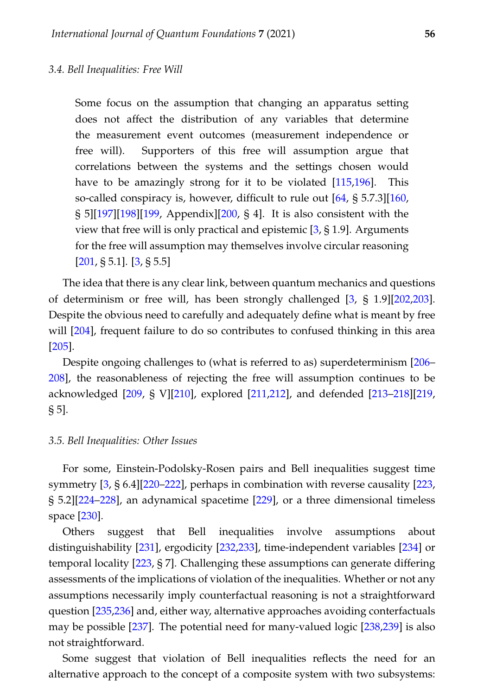<span id="page-9-0"></span>Some focus on the assumption that changing an apparatus setting does not affect the distribution of any variables that determine the measurement event outcomes (measurement independence or free will). Supporters of this free will assumption argue that correlations between the systems and the settings chosen would have to be amazingly strong for it to be violated [\[115](#page-21-11)[,196\]](#page-26-3). This so-called conspiracy is, however, difficult to rule out [\[64,](#page-17-10) § 5.7.3][\[160,](#page-24-0) § 5][\[197\]](#page-26-4)[\[198\]](#page-26-5)[\[199,](#page-26-6) Appendix][\[200,](#page-26-7) § 4]. It is also consistent with the view that free will is only practical and epistemic  $[3, § 1.9]$  $[3, § 1.9]$ . Arguments for the free will assumption may themselves involve circular reasoning  $[201, \S 5.1]$  $[201, \S 5.1]$ .  $[3, \S 5.5]$  $[3, \S 5.5]$ 

The idea that there is any clear link, between quantum mechanics and questions of determinism or free will, has been strongly challenged [\[3,](#page-13-2) § 1.9][\[202](#page-26-9)[,203\]](#page-27-0). Despite the obvious need to carefully and adequately define what is meant by free will [\[204\]](#page-27-1), frequent failure to do so contributes to confused thinking in this area [\[205\]](#page-27-2).

Despite ongoing challenges to (what is referred to as) superdeterminism [\[206–](#page-27-3) [208\]](#page-27-4), the reasonableness of rejecting the free will assumption continues to be acknowledged [\[209,](#page-27-5) § V][\[210\]](#page-27-6), explored [\[211,](#page-27-7)[212\]](#page-27-8), and defended [\[213](#page-27-9)[–218\]](#page-27-10)[\[219,](#page-27-11) § 5].

### <span id="page-9-1"></span>*3.5. Bell Inequalities: Other Issues*

For some, Einstein-Podolsky-Rosen pairs and Bell inequalities suggest time symmetry [\[3,](#page-13-2) § 6.4][\[220](#page-27-12)[–222\]](#page-28-0), perhaps in combination with reverse causality [\[223,](#page-28-1) § 5.2][\[224](#page-28-2)[–228\]](#page-28-3), an adynamical spacetime [\[229\]](#page-28-4), or a three dimensional timeless space [\[230\]](#page-28-5).

Others suggest that Bell inequalities involve assumptions about distinguishability [\[231\]](#page-28-6), ergodicity [\[232](#page-28-7)[,233\]](#page-28-8), time-independent variables [\[234\]](#page-28-9) or temporal locality [\[223,](#page-28-1) § 7]. Challenging these assumptions can generate differing assessments of the implications of violation of the inequalities. Whether or not any assumptions necessarily imply counterfactual reasoning is not a straightforward question [\[235,](#page-28-10)[236\]](#page-28-11) and, either way, alternative approaches avoiding conterfactuals may be possible [\[237\]](#page-29-0). The potential need for many-valued logic [\[238](#page-29-1)[,239\]](#page-29-2) is also not straightforward.

Some suggest that violation of Bell inequalities reflects the need for an alternative approach to the concept of a composite system with two subsystems: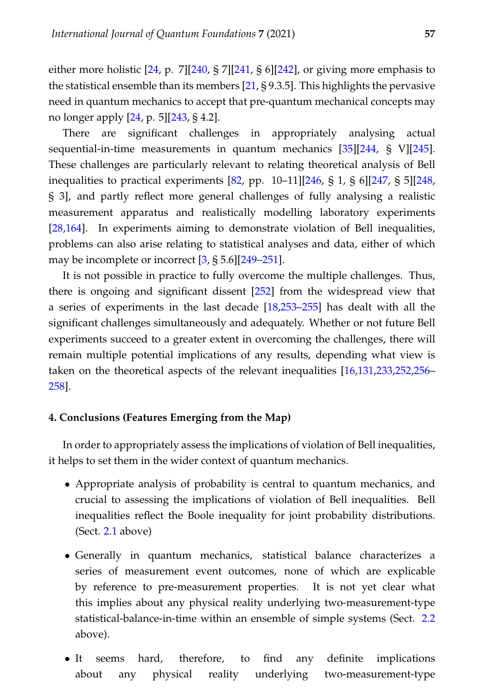either more holistic [\[24,](#page-14-12) p. 7][\[240,](#page-29-3) § 7][\[241,](#page-29-4) § 6][\[242\]](#page-29-5), or giving more emphasis to the statistical ensemble than its members [\[21,](#page-14-9) § 9.3.5]. This highlights the pervasive need in quantum mechanics to accept that pre-quantum mechanical concepts may no longer apply [\[24,](#page-14-12) p. 5][\[243,](#page-29-6) § 4.2].

There are significant challenges in appropriately analysing actual sequential-in-time measurements in quantum mechanics [\[35\]](#page-15-5)[\[244,](#page-29-7) § V][\[245\]](#page-29-8). These challenges are particularly relevant to relating theoretical analysis of Bell inequalities to practical experiments [\[82,](#page-18-13) pp. 10–11][\[246,](#page-29-9) § 1, § 6][\[247,](#page-29-10) § 5][\[248,](#page-29-11) § 3], and partly reflect more general challenges of fully analysing a realistic measurement apparatus and realistically modelling laboratory experiments [\[28](#page-15-12)[,164\]](#page-24-4). In experiments aiming to demonstrate violation of Bell inequalities, problems can also arise relating to statistical analyses and data, either of which may be incomplete or incorrect [\[3,](#page-13-2) § 5.6][\[249](#page-29-12)[–251\]](#page-29-13).

It is not possible in practice to fully overcome the multiple challenges. Thus, there is ongoing and significant dissent [\[252\]](#page-29-14) from the widespread view that a series of experiments in the last decade [\[18](#page-14-6)[,253](#page-30-0)[–255\]](#page-30-1) has dealt with all the significant challenges simultaneously and adequately. Whether or not future Bell experiments succeed to a greater extent in overcoming the challenges, there will remain multiple potential implications of any results, depending what view is taken on the theoretical aspects of the relevant inequalities [\[16,](#page-14-15)[131,](#page-21-10)[233,](#page-28-8)[252,](#page-29-14)[256–](#page-30-2) [258\]](#page-30-3).

### <span id="page-10-0"></span>**4. Conclusions (Features Emerging from the Map)**

In order to appropriately assess the implications of violation of Bell inequalities, it helps to set them in the wider context of quantum mechanics.

- Appropriate analysis of probability is central to quantum mechanics, and crucial to assessing the implications of violation of Bell inequalities. Bell inequalities reflect the Boole inequality for joint probability distributions. (Sect. [2.1](#page-2-1) above)
- Generally in quantum mechanics, statistical balance characterizes a series of measurement event outcomes, none of which are explicable by reference to pre-measurement properties. It is not yet clear what this implies about any physical reality underlying two-measurement-type statistical-balance-in-time within an ensemble of simple systems (Sect. [2.2](#page-3-0) above).
- It seems hard, therefore, to find any definite implications about any physical reality underlying two-measurement-type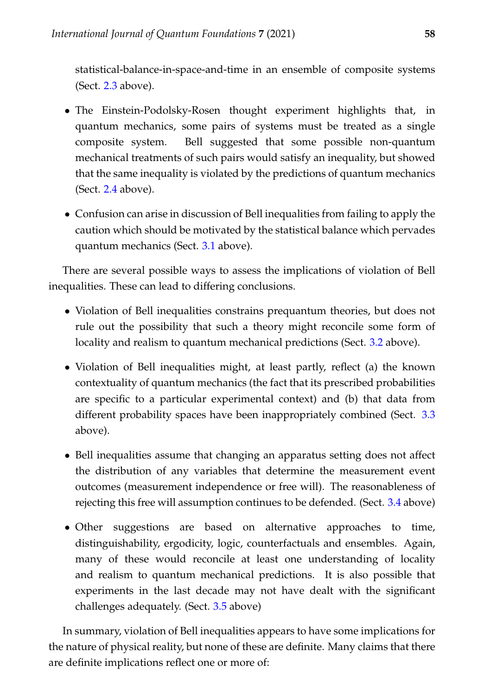statistical-balance-in-space-and-time in an ensemble of composite systems (Sect.  $2.3$  above).

- The Einstein-Podolsky-Rosen thought experiment highlights that, in quantum mechanics, some pairs of systems must be treated as a single composite system. Bell suggested that some possible non-quantum mechanical treatments of such pairs would satisfy an inequality, but showed that the same inequality is violated by the predictions of quantum mechanics (Sect.  $2.4$  above).
- Confusion can arise in discussion of Bell inequalities from failing to apply the caution which should be motivated by the statistical balance which pervades quantum mechanics (Sect. [3.1](#page-5-1) above).

There are several possible ways to assess the implications of violation of Bell inequalities. These can lead to differing conclusions.

- Violation of Bell inequalities constrains prequantum theories, but does not rule out the possibility that such a theory might reconcile some form of locality and realism to quantum mechanical predictions (Sect. [3.2](#page-6-0) above).
- Violation of Bell inequalities might, at least partly, reflect (a) the known contextuality of quantum mechanics (the fact that its prescribed probabilities are specific to a particular experimental context) and (b) that data from different probability spaces have been inappropriately combined (Sect. [3.3](#page-7-0) above).
- Bell inequalities assume that changing an apparatus setting does not affect the distribution of any variables that determine the measurement event outcomes (measurement independence or free will). The reasonableness of rejecting this free will assumption continues to be defended. (Sect. [3.4](#page-9-0) above)
- Other suggestions are based on alternative approaches to time, distinguishability, ergodicity, logic, counterfactuals and ensembles. Again, many of these would reconcile at least one understanding of locality and realism to quantum mechanical predictions. It is also possible that experiments in the last decade may not have dealt with the significant challenges adequately. (Sect. [3.5](#page-9-1) above)

In summary, violation of Bell inequalities appears to have some implications for the nature of physical reality, but none of these are definite. Many claims that there are definite implications reflect one or more of: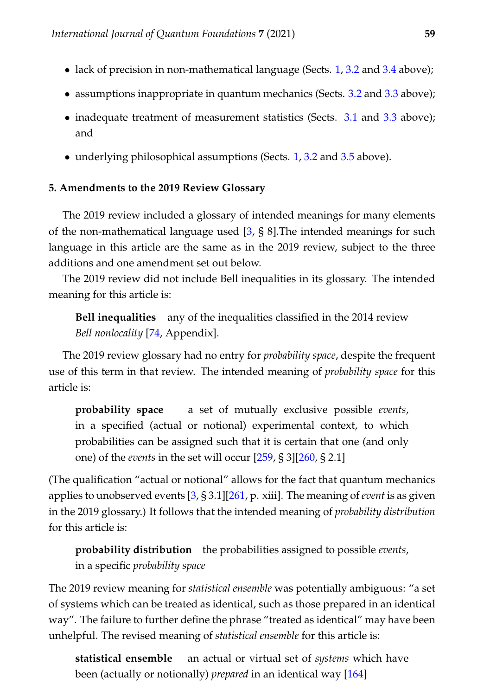- lack of precision in non-mathematical language (Sects. [1,](#page-1-0) [3.2](#page-6-0) and [3.4](#page-9-0) above);
- assumptions inappropriate in quantum mechanics (Sects. [3.2](#page-6-0) and [3.3](#page-7-0) above);
- inadequate treatment of measurement statistics (Sects. [3.1](#page-5-1) and [3.3](#page-7-0) above); and
- underlying philosophical assumptions (Sects. [1,](#page-1-0) [3.2](#page-6-0) and [3.5](#page-9-1) above).

# <span id="page-12-0"></span>**5. Amendments to the 2019 Review Glossary**

The 2019 review included a glossary of intended meanings for many elements of the non-mathematical language used [\[3,](#page-13-2) § 8].The intended meanings for such language in this article are the same as in the 2019 review, subject to the three additions and one amendment set out below.

The 2019 review did not include Bell inequalities in its glossary. The intended meaning for this article is:

**Bell inequalities** any of the inequalities classified in the 2014 review *Bell nonlocality* [\[74,](#page-18-6) Appendix].

The 2019 review glossary had no entry for *probability space*, despite the frequent use of this term in that review. The intended meaning of *probability space* for this article is:

**probability space** a set of mutually exclusive possible *events*, in a specified (actual or notional) experimental context, to which probabilities can be assigned such that it is certain that one (and only one) of the *events* in the set will occur [\[259,](#page-30-4) § 3][\[260,](#page-30-5) § 2.1]

(The qualification "actual or notional" allows for the fact that quantum mechanics applies to unobserved events [\[3,](#page-13-2) § 3.1][\[261,](#page-30-6) p. xiii]. The meaning of *event* is as given in the 2019 glossary.) It follows that the intended meaning of *probability distribution* for this article is:

**probability distribution** the probabilities assigned to possible *events*, in a specific *probability space*

The 2019 review meaning for *statistical ensemble* was potentially ambiguous: "a set of systems which can be treated as identical, such as those prepared in an identical way". The failure to further define the phrase "treated as identical" may have been unhelpful. The revised meaning of *statistical ensemble* for this article is:

**statistical ensemble** an actual or virtual set of *systems* which have been (actually or notionally) *prepared* in an identical way [\[164\]](#page-24-4)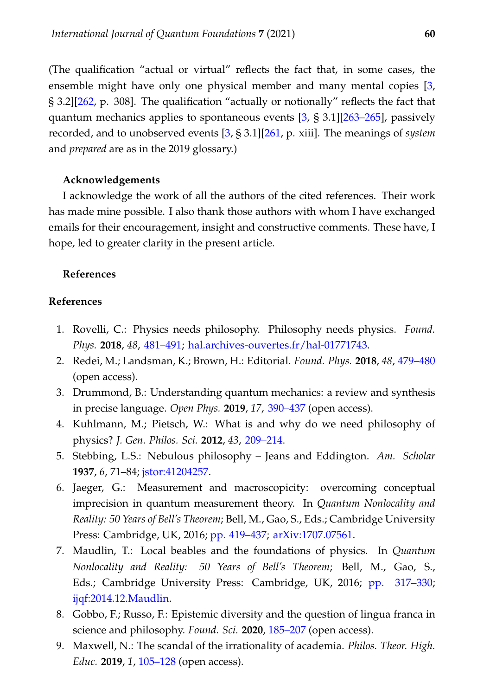(The qualification "actual or virtual" reflects the fact that, in some cases, the ensemble might have only one physical member and many mental copies [\[3,](#page-13-2) § 3.2][\[262,](#page-30-7) p. 308]. The qualification "actually or notionally" reflects the fact that quantum mechanics applies to spontaneous events [\[3,](#page-13-2) § 3.1][\[263](#page-30-8)[–265\]](#page-30-9), passively recorded, and to unobserved events [\[3,](#page-13-2) § 3.1][\[261,](#page-30-6) p. xiii]. The meanings of *system* and *prepared* are as in the 2019 glossary.)

### **Acknowledgements**

I acknowledge the work of all the authors of the cited references. Their work has made mine possible. I also thank those authors with whom I have exchanged emails for their encouragement, insight and constructive comments. These have, I hope, led to greater clarity in the present article.

# **References**

### **References**

- <span id="page-13-0"></span>1. Rovelli, C.: Physics needs philosophy. Philosophy needs physics. *Found. Phys.* **2018**, *48*, [481–491;](https://doi.org/10.1007/s10701-018-0167-y) [hal.archives-ouvertes.fr/hal-01771743.](https://hal.archives-ouvertes.fr/hal-01771743)
- <span id="page-13-1"></span>2. Redei, M.; Landsman, K.; Brown, H.: Editorial. *Found. Phys.* **2018**, *48*, [479–480](https://doi.org/10.1007/s10701-018-0171-2) (open access).
- <span id="page-13-2"></span>3. Drummond, B.: Understanding quantum mechanics: a review and synthesis in precise language. *Open Phys.* **2019**, *17*, [390–437](https://doi.org/10.1515/phys-2019-0045) (open access).
- <span id="page-13-3"></span>4. Kuhlmann, M.; Pietsch, W.: What is and why do we need philosophy of physics? *J. Gen. Philos. Sci.* **2012**, *43*, [209–214.](https://doi.org/10.1007/s10838-012-9204-2)
- <span id="page-13-4"></span>5. Stebbing, L.S.: Nebulous philosophy – Jeans and Eddington. *Am. Scholar* **1937**, *6*, 71–84; [jstor:41204257.](https://www.jstor.org/stable/41204257)
- <span id="page-13-5"></span>6. Jaeger, G.: Measurement and macroscopicity: overcoming conceptual imprecision in quantum measurement theory. In *Quantum Nonlocality and Reality: 50 Years of Bell's Theorem*; Bell, M., Gao, S., Eds.; Cambridge University Press: Cambridge, UK, 2016; [pp. 419–437;](https://doi.org/10.1017/CBO9781316219393.028) [arXiv:1707.07561.](https://arxiv.org/abs/1707.07561)
- <span id="page-13-6"></span>7. Maudlin, T.: Local beables and the foundations of physics. In *Quantum Nonlocality and Reality: 50 Years of Bell's Theorem*; Bell, M., Gao, S., Eds.; Cambridge University Press: Cambridge, UK, 2016; [pp. 317–330;](https://doi.org/10.1017/CBO9781316219393.021) [ijqf:2014.12.Maudlin.](https://ijqf.org/wp-content/uploads/2014/12/Maudlin-Local-Beables.pdf)
- <span id="page-13-7"></span>8. Gobbo, F.; Russo, F.: Epistemic diversity and the question of lingua franca in science and philosophy. *Found. Sci.* **2020**, [185–207](https://doi.org/10.1007/s10699-019-09631-6) (open access).
- <span id="page-13-8"></span>9. Maxwell, N.: The scandal of the irrationality of academia. *Philos. Theor. High. Educ.* **2019**, *1*, [105–128](https://doi.org/10.3726/ptihe.2019.01.06) (open access).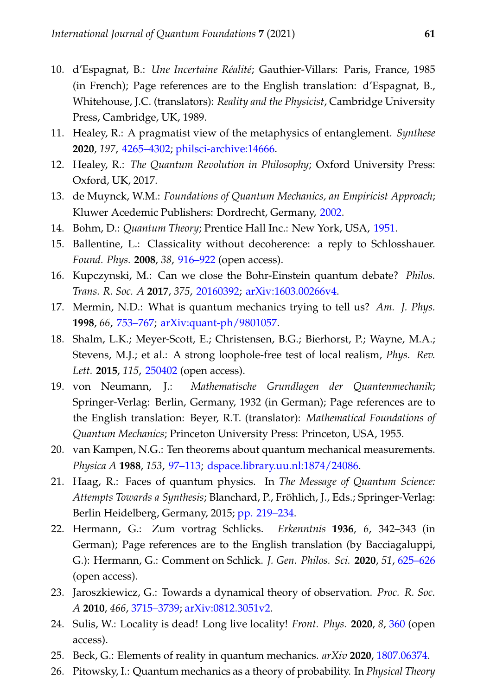- <span id="page-14-0"></span>10. d'Espagnat, B.: *Une Incertaine Réalité*; Gauthier-Villars: Paris, France, 1985 (in French); Page references are to the English translation: d'Espagnat, B., Whitehouse, J.C. (translators): *Reality and the Physicist*, Cambridge University Press, Cambridge, UK, 1989.
- <span id="page-14-1"></span>11. Healey, R.: A pragmatist view of the metaphysics of entanglement. *Synthese* **2020**, *197*, [4265–4302;](https://doi.org/10.1007/s11229-016-1204-z) [philsci-archive:14666.](http://philsci-archive.pitt.edu/14666/)
- <span id="page-14-2"></span>12. Healey, R.: *The Quantum Revolution in Philosophy*; Oxford University Press: Oxford, UK, 2017.
- <span id="page-14-3"></span>13. de Muynck, W.M.: *Foundations of Quantum Mechanics, an Empiricist Approach*; Kluwer Acedemic Publishers: Dordrecht, Germany, [2002.](https://doi.org/10.1007/0-306-48047-6)
- <span id="page-14-4"></span>14. Bohm, D.: *Quantum Theory*; Prentice Hall Inc.: New York, USA, [1951.](http://store.doverpublications.com/0486659690.html)
- <span id="page-14-5"></span>15. Ballentine, L.: Classicality without decoherence: a reply to Schlosshauer. *Found. Phys.* **2008**, *38*, [916–922](https://doi.org/10.1007/s10701-008-9242-0) (open access).
- <span id="page-14-15"></span>16. Kupczynski, M.: Can we close the Bohr-Einstein quantum debate? *Philos. Trans. R. Soc. A* **2017**, *375*, [20160392;](https://doi.org/10.1098/rsta.2016.0392) [arXiv:1603.00266v4.](https://arxiv.org/abs/1603.00266v4)
- 17. Mermin, N.D.: What is quantum mechanics trying to tell us? *Am. J. Phys.* **1998**, *66*, [753–767;](https://doi.org/10.1119/1.18955) [arXiv:quant-ph/9801057.](https://arxiv.org/abs/quant-ph/9801057)
- <span id="page-14-6"></span>18. Shalm, L.K.; Meyer-Scott, E.; Christensen, B.G.; Bierhorst, P.; Wayne, M.A.; Stevens, M.J.; et al.: A strong loophole-free test of local realism, *Phys. Rev. Lett.* **2015**, *115*, [250402](https://doi.org/10.1103/PhysRevLett.115.250402) (open access).
- <span id="page-14-7"></span>19. von Neumann, J.: *Mathematische Grundlagen der Quantenmechanik*; Springer-Verlag: Berlin, Germany, 1932 (in German); Page references are to the English translation: Beyer, R.T. (translator): *Mathematical Foundations of Quantum Mechanics*; Princeton University Press: Princeton, USA, 1955.
- <span id="page-14-8"></span>20. van Kampen, N.G.: Ten theorems about quantum mechanical measurements. *Physica A* **1988**, *153*, [97–113;](https://doi.org/10.1016/0378-4371(88)90105-7) [dspace.library.uu.nl:1874/24086.](https://dspace.library.uu.nl/bitstream/handle/1874/24086/vankampen_88_ten.pdf?sequence=1)
- <span id="page-14-9"></span>21. Haag, R.: Faces of quantum physics. In *The Message of Quantum Science: Attempts Towards a Synthesis*; Blanchard, P., Fröhlich, J., Eds.; Springer-Verlag: Berlin Heidelberg, Germany, 2015; [pp. 219–234.](https://doi.org/10.1007/978-3-662-46422-9_9)
- <span id="page-14-10"></span>22. Hermann, G.: Zum vortrag Schlicks. *Erkenntnis* **1936**, *6*, 342–343 (in German); Page references are to the English translation (by Bacciagaluppi, G.): Hermann, G.: Comment on Schlick. *J. Gen. Philos. Sci.* **2020**, *51*, [625–626](https://doi.org/10.1007/s10838-020-09532-4) (open access).
- <span id="page-14-11"></span>23. Jaroszkiewicz, G.: Towards a dynamical theory of observation. *Proc. R. Soc. A* **2010**, *466*, [3715–3739;](https://doi.org/10.1098/rspa.2009.0604) [arXiv:0812.3051v2.](http://arxiv.org/abs/0812.3051v2)
- <span id="page-14-12"></span>24. Sulis, W.: Locality is dead! Long live locality! *Front. Phys.* **2020**, *8*, [360](https://doi.org/10.3389/fphy.2020.00360) (open access).
- <span id="page-14-14"></span><span id="page-14-13"></span>25. Beck, G.: Elements of reality in quantum mechanics. *arXiv* **2020**, [1807.06374.](http://arxiv.org/abs/1807.06374)
- 26. Pitowsky, I.: Quantum mechanics as a theory of probability. In *Physical Theory*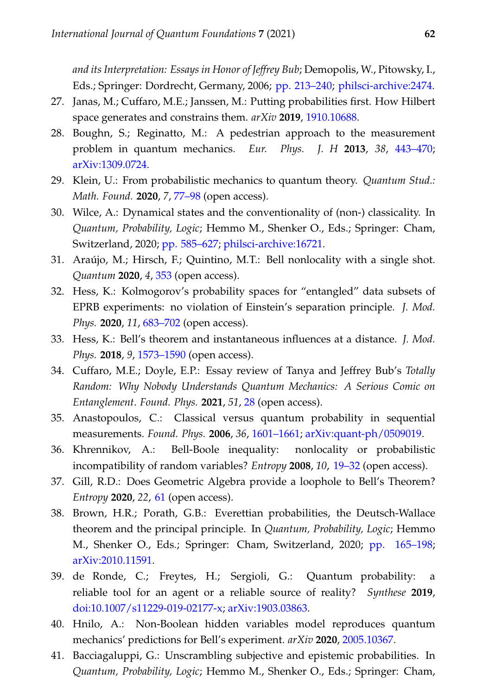*and its Interpretation: Essays in Honor of Jeffrey Bub*; Demopolis, W., Pitowsky, I., Eds.; Springer: Dordrecht, Germany, 2006; [pp. 213–240;](https://doi.org/10.1007/1-4020-4876-9_10) [philsci-archive:2474.](http://philsci-archive.pitt.edu/2474/)

- 27. Janas, M.; Cuffaro, M.E.; Janssen, M.: Putting probabilities first. How Hilbert space generates and constrains them. *arXiv* **2019**, [1910.10688.](https://arxiv.org/abs/1910.10688)
- <span id="page-15-12"></span>28. Boughn, S.; Reginatto, M.: A pedestrian approach to the measurement problem in quantum mechanics. *Eur. Phys. J. H* **2013**, *38*, [443–470;](https://doi.org/10.1140/epjh/e2013-40004-9) [arXiv:1309.0724.](http://arxiv.org/abs/1309.0724)
- 29. Klein, U.: From probabilistic mechanics to quantum theory. *Quantum Stud.: Math. Found.* **2020**, *7*, [77–98](https://doi.org/10.1007/s40509-019-00201-w) (open access).
- <span id="page-15-0"></span>30. Wilce, A.: Dynamical states and the conventionality of (non-) classicality. In *Quantum, Probability, Logic*; Hemmo M., Shenker O., Eds.; Springer: Cham, Switzerland, 2020; [pp. 585–627;](https://doi.org/10.1007/978-3-030-34316-3_27) [philsci-archive:16721.](http://philsci-archive.pitt.edu/16721/)
- <span id="page-15-1"></span>31. Araújo, M.; Hirsch, F.; Quintino, M.T.: Bell nonlocality with a single shot. *Quantum* **2020**, *4*, [353](https://doi.org/10.22331/q-2020-10-28-353) (open access).
- <span id="page-15-2"></span>32. Hess, K.: Kolmogorov's probability spaces for "entangled" data subsets of EPRB experiments: no violation of Einstein's separation principle. *J. Mod. Phys.* **2020**, *11*, [683–702](https://doi.org/10.4236/jmp.2020.115044) (open access).
- <span id="page-15-3"></span>33. Hess, K.: Bell's theorem and instantaneous influences at a distance. *J. Mod. Phys.* **2018**, *9*, [1573–1590](https://doi.org/10.4236/jmp.2018.98099) (open access).
- <span id="page-15-4"></span>34. Cuffaro, M.E.; Doyle, E.P.: Essay review of Tanya and Jeffrey Bub's *Totally Random: Why Nobody Understands Quantum Mechanics: A Serious Comic on Entanglement*. *Found. Phys.* **2021**, *51*, [28](https://doi.org/10.1007/s10701-021-00423-2) (open access).
- <span id="page-15-5"></span>35. Anastopoulos, C.: Classical versus quantum probability in sequential measurements. *Found. Phys.* **2006**, *36*, [1601–1661;](https://doi.org/10.1007/s10701-006-9077-5) [arXiv:quant-ph/0509019.](http://arxiv.org/abs/quant-ph/0509019)
- <span id="page-15-6"></span>36. Khrennikov, A.: Bell-Boole inequality: nonlocality or probabilistic incompatibility of random variables? *Entropy* **2008**, *10*, [19–32](https://doi.org/10.3390/entropy-e10020019) (open access).
- <span id="page-15-7"></span>37. Gill, R.D.: Does Geometric Algebra provide a loophole to Bell's Theorem? *Entropy* **2020**, *22*, [61](https://doi.org/10.3390/e22010061) (open access).
- <span id="page-15-8"></span>38. Brown, H.R.; Porath, G.B.: Everettian probabilities, the Deutsch-Wallace theorem and the principal principle. In *Quantum, Probability, Logic*; Hemmo M., Shenker O., Eds.; Springer: Cham, Switzerland, 2020; [pp. 165–198;](https://doi.org/10.1007/978-3-030-34316-3_7) [arXiv:2010.11591.](http://arxiv.org/abs/2010.11591)
- <span id="page-15-9"></span>39. de Ronde, C.; Freytes, H.; Sergioli, G.: Quantum probability: a reliable tool for an agent or a reliable source of reality? *Synthese* **2019**, [doi:10.1007/s11229-019-02177-x;](https://doi.org/10.1007/s11229-019-02177-x) [arXiv:1903.03863.](http://arxiv.org/abs/1903.03863)
- <span id="page-15-10"></span>40. Hnilo, A.: Non-Boolean hidden variables model reproduces quantum mechanics' predictions for Bell's experiment. *arXiv* **2020**, [2005.10367.](http://arxiv.org/abs/2005.10367)
- <span id="page-15-11"></span>41. Bacciagaluppi, G.: Unscrambling subjective and epistemic probabilities. In *Quantum, Probability, Logic*; Hemmo M., Shenker O., Eds.; Springer: Cham,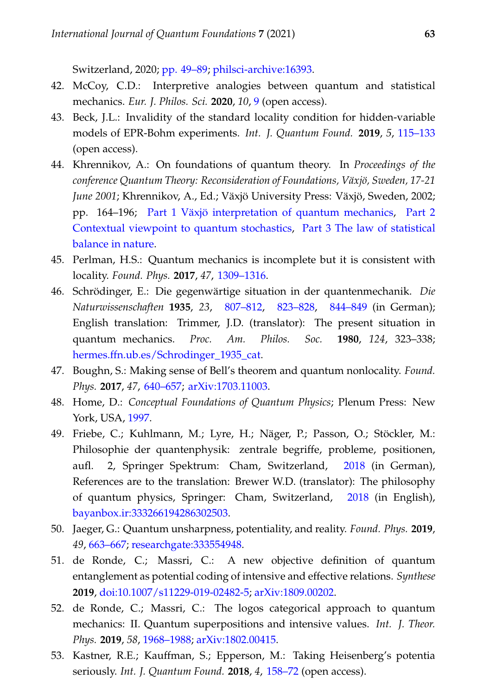Switzerland, 2020; [pp. 49–89;](https://doi.org/10.1007/978-3-030-34316-3_3) [philsci-archive:16393.](http://philsci-archive.pitt.edu/16393/)

- <span id="page-16-0"></span>42. McCoy, C.D.: Interpretive analogies between quantum and statistical mechanics. *Eur. J. Philos. Sci.* **2020**, *10*, [9](https://doi.org/10.1007/s13194-019-0268-2) (open access).
- <span id="page-16-1"></span>43. Beck, J.L.: Invalidity of the standard locality condition for hidden-variable models of EPR-Bohm experiments. *Int. J. Quantum Found.* **2019**, *5*, [115–133](https://ijqf.org/wp-content/uploads/2019/10/IJQF2019v5n4p1.pdf) (open access).
- <span id="page-16-2"></span>44. Khrennikov, A.: On foundations of quantum theory. In *Proceedings of the conference Quantum Theory: Reconsideration of Foundations, Växjö, Sweden, 17-21 June 2001*; Khrennikov, A., Ed.; Växjö University Press: Växjö, Sweden, 2002; pp. 164–196; [Part 1 Växjö interpretation of quantum mechanics,](https://arxiv.org/abs/quant-ph/0202107) [Part 2](https://arxiv.org/abs/quant-ph/0106073) [Contextual viewpoint to quantum stochastics,](https://arxiv.org/abs/quant-ph/0106073) [Part 3 The law of statistical](https://arxiv.org/abs/quant-ph/0204008) [balance in nature.](https://arxiv.org/abs/quant-ph/0204008)
- <span id="page-16-3"></span>45. Perlman, H.S.: Quantum mechanics is incomplete but it is consistent with locality. *Found. Phys.* **2017**, *47*, [1309–1316.](https://doi.org/10.1007/s10701-017-0111-6)
- <span id="page-16-4"></span>46. Schrödinger, E.: Die gegenwärtige situation in der quantenmechanik. *Die Naturwissenschaften* **1935**, *23*, [807–812,](https://doi.org/10.1007/bf01491891) [823–828,](https://doi.org/10.1007/bf01491914) [844–849](https://doi.org/10.1007/bf01491987) (in German); English translation: Trimmer, J.D. (translator): The present situation in quantum mechanics. *Proc. Am. Philos. Soc.* **1980**, *124*, 323–338; hermes.ffn.ub.es/Schrodinger 1935 cat.
- <span id="page-16-5"></span>47. Boughn, S.: Making sense of Bell's theorem and quantum nonlocality. *Found. Phys.* **2017**, *47*, [640–657;](https://doi.org/10.1007/s10701-017-0083-6) [arXiv:1703.11003.](https://arxiv.org/abs/1703.11003)
- <span id="page-16-6"></span>48. Home, D.: *Conceptual Foundations of Quantum Physics*; Plenum Press: New York, USA, [1997.](https://doi.org/10.1007/978-1-4757-9808-1)
- <span id="page-16-7"></span>49. Friebe, C.; Kuhlmann, M.; Lyre, H.; Näger, P.; Passon, O.; Stöckler, M.: Philosophie der quantenphysik: zentrale begriffe, probleme, positionen, aufl. 2, Springer Spektrum: Cham, Switzerland, [2018](https://doi.org/10.1007/978-3-662-54276-7) (in German), References are to the translation: Brewer W.D. (translator): The philosophy of quantum physics, Springer: Cham, Switzerland, [2018](https://doi.org/10.1007/978-3-319-78356-7) (in English), [bayanbox.ir:333266194286302503.](http://bayanbox.ir/download/333266194286302503/Friebe-PhilosophyofQuantumPhysics-1ed.pdf)
- <span id="page-16-8"></span>50. Jaeger, G.: Quantum unsharpness, potentiality, and reality. *Found. Phys.* **2019**, *49*, [663–667;](https://doi.org/10.1007/s10701-019-00273-z) [researchgate:333554948.](https://www.researchgate.net/profile/Gregg_Jaeger/publication/333554948_Quantum_Unsharpness_Potentiality_and_Reality/links/5d19ff03a6fdcc2462b4ede6/Quantum-Unsharpness-Potentiality-and-Reality.pdf)
- 51. de Ronde, C.; Massri, C.: A new objective definition of quantum entanglement as potential coding of intensive and effective relations. *Synthese* **2019**, [doi:10.1007/s11229-019-02482-5;](https://doi.org/10.1007/s11229-019-02482-5) [arXiv:1809.00202.](http://arxiv.org/abs/1809.00202)
- 52. de Ronde, C.; Massri, C.: The logos categorical approach to quantum mechanics: II. Quantum superpositions and intensive values. *Int. J. Theor. Phys.* **2019**, *58*, [1968–1988;](https://doi.org/10.1007/s10773-019-04091-x) [arXiv:1802.00415.](http://arxiv.org/abs/1802.00415)
- 53. Kastner, R.E.; Kauffman, S.; Epperson, M.: Taking Heisenberg's potentia seriously. *Int. J. Quantum Found.* **2018**, *4*, [158–72](http://www.ijqf.org/wps/wp-content/uploads/2018/03/IJQF2018v4n2p1.pdf) (open access).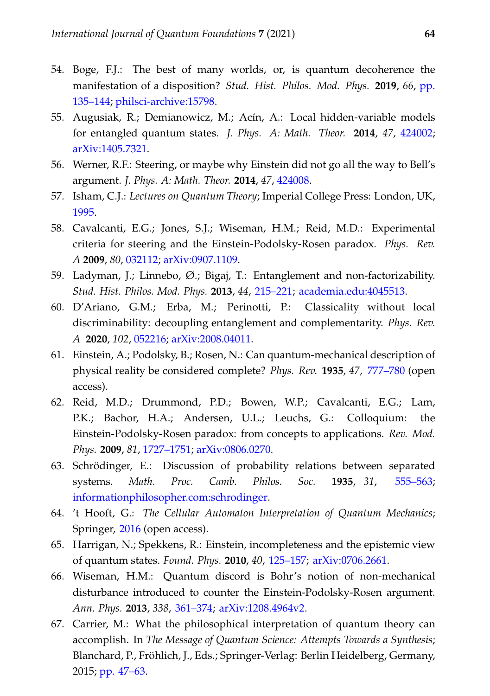- <span id="page-17-0"></span>54. Boge, F.J.: The best of many worlds, or, is quantum decoherence the manifestation of a disposition? *Stud. Hist. Philos. Mod. Phys.* **2019**, *66*, [pp.](https://doi.org/10.1016/j.shpsb.2019.02.001) [135–144;](https://doi.org/10.1016/j.shpsb.2019.02.001) [philsci-archive:15798.](http://philsci-archive.pitt.edu/15798/)
- <span id="page-17-1"></span>55. Augusiak, R.; Demianowicz, M.; Acín, A.: Local hidden-variable models for entangled quantum states. *J. Phys. A: Math. Theor.* **2014**, *47*, [424002;](https://doi.org/10.1088/1751-8113/47/42/424002) [arXiv:1405.7321.](http://arxiv.org/abs/1405.7321)
- <span id="page-17-2"></span>56. Werner, R.F.: Steering, or maybe why Einstein did not go all the way to Bell's argument. *J. Phys. A: Math. Theor.* **2014**, *47*, [424008.](http://dx.doi.org/10.1088/1751-8113/47/42/424008)
- <span id="page-17-3"></span>57. Isham, C.J.: *Lectures on Quantum Theory*; Imperial College Press: London, UK, [1995.](https://doi.org/10.1142/p001)
- <span id="page-17-4"></span>58. Cavalcanti, E.G.; Jones, S.J.; Wiseman, H.M.; Reid, M.D.: Experimental criteria for steering and the Einstein-Podolsky-Rosen paradox. *Phys. Rev. A* **2009**, *80*, [032112;](https://doi.org/10.1103/PhysRevA.80.032112) [arXiv:0907.1109.](http://arxiv.org/abs/0907.1109)
- <span id="page-17-5"></span>59. Ladyman, J.; Linnebo,  $\emptyset$ .; Bigaj, T.: Entanglement and non-factorizability. *Stud. Hist. Philos. Mod. Phys.* **2013**, *44*, [215–221;](https://doi.org/10.1016/j.shpsb.2013.02.004) [academia.edu:4045513.](https://www.academia.edu/4045513/Entanglement_and_non-factorizability)
- <span id="page-17-6"></span>60. D'Ariano, G.M.; Erba, M.; Perinotti, P.: Classicality without local discriminability: decoupling entanglement and complementarity. *Phys. Rev. A* **2020**, *102*, [052216;](https://doi.org/10.1103/PhysRevA.102.052216) [arXiv:2008.04011.](http://arxiv.org/abs/2008.04011)
- <span id="page-17-7"></span>61. Einstein, A.; Podolsky, B.; Rosen, N.: Can quantum-mechanical description of physical reality be considered complete? *Phys. Rev.* **1935**, *47*, [777–780](http://dx.doi.org/10.1103/PhysRev.47.777) (open access).
- <span id="page-17-8"></span>62. Reid, M.D.; Drummond, P.D.; Bowen, W.P.; Cavalcanti, E.G.; Lam, P.K.; Bachor, H.A.; Andersen, U.L.; Leuchs, G.: Colloquium: the Einstein-Podolsky-Rosen paradox: from concepts to applications. *Rev. Mod. Phys.* **2009**, *81*, [1727–1751;](https://doi.org/10.1103/RevModPhys.81.1727) [arXiv:0806.0270.](http://arxiv.org/abs/0806.0270)
- <span id="page-17-9"></span>63. Schrödinger, E.: Discussion of probability relations between separated systems. *Math. Proc. Camb. Philos. Soc.* **1935**, *31*, [555–563;](https://doi.org/10.1017/S0305004100013554) [informationphilosopher.com:schrodinger.](http://www.informationphilosopher.com/solutions/scientists/schrodinger/Schrodinger-1935.pdf)
- <span id="page-17-10"></span>64. 't Hooft, G.: *The Cellular Automaton Interpretation of Quantum Mechanics*; Springer, [2016](https://doi.org/10.1007/978-3-319-41285-6) (open access).
- <span id="page-17-11"></span>65. Harrigan, N.; Spekkens, R.: Einstein, incompleteness and the epistemic view of quantum states. *Found. Phys.* **2010**, *40*, [125–157;](https://doi.org/10.1007/s10701-009-9347-0) [arXiv:0706.2661.](https://arxiv.org/abs/0706.2661)
- <span id="page-17-12"></span>66. Wiseman, H.M.: Quantum discord is Bohr's notion of non-mechanical disturbance introduced to counter the Einstein-Podolsky-Rosen argument. *Ann. Phys.* **2013**, *338*, [361–374;](https://doi.org/10.1016/j.aop.2013.05.002) [arXiv:1208.4964v2.](https://arxiv.org/abs/1208.4964v2)
- <span id="page-17-13"></span>67. Carrier, M.: What the philosophical interpretation of quantum theory can accomplish. In *The Message of Quantum Science: Attempts Towards a Synthesis*; Blanchard, P., Fröhlich, J., Eds.; Springer-Verlag: Berlin Heidelberg, Germany, 2015; [pp. 47–63.](https://doi.org/10.1007/978-3-662-46422-9_3)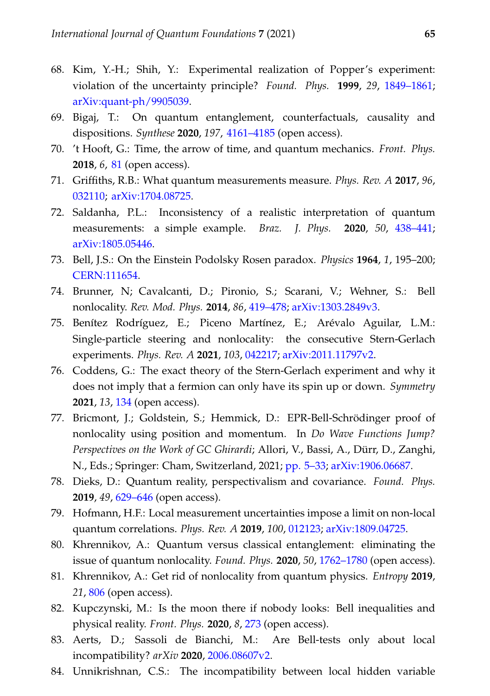- <span id="page-18-0"></span>68. Kim, Y.-H.; Shih, Y.: Experimental realization of Popper's experiment: violation of the uncertainty principle? *Found. Phys.* **1999**, *29*, [1849–1861;](https://doi.org/10.1023/A:1018890316979) [arXiv:quant-ph/9905039.](http://arxiv.org/abs/quant-ph/9905039)
- <span id="page-18-1"></span>69. Bigaj, T.: On quantum entanglement, counterfactuals, causality and dispositions. *Synthese* **2020**, *197*, [4161–4185](https://doi.org/10.1007/s11229-016-1304-9) (open access).
- <span id="page-18-2"></span>70. 't Hooft, G.: Time, the arrow of time, and quantum mechanics. *Front. Phys.* **2018**, *6*, [81](https://doi.org/10.3389/fphy.2018.00081) (open access).
- <span id="page-18-3"></span>71. Griffiths, R.B.: What quantum measurements measure. *Phys. Rev. A* **2017**, *96*, [032110;](https://doi.org/10.1103/PhysRevA.96.032110) [arXiv:1704.08725.](https://arxiv.org/abs/1704.08725)
- <span id="page-18-4"></span>72. Saldanha, P.L.: Inconsistency of a realistic interpretation of quantum measurements: a simple example. *Braz. J. Phys.* **2020**, *50*, [438–441;](https://doi.org/10.1007/s13538-020-00757-8) [arXiv:1805.05446.](http://arxiv.org/abs/1805.05446)
- <span id="page-18-5"></span>73. Bell, J.S.: On the Einstein Podolsky Rosen paradox. *Physics* **1964**, *1*, 195–200; [CERN:111654.](https://cds.cern.ch/record/111654)
- <span id="page-18-6"></span>74. Brunner, N; Cavalcanti, D.; Pironio, S.; Scarani, V.; Wehner, S.: Bell nonlocality. *Rev. Mod. Phys.* **2014**, *86*, [419–478;](https://doi.org/10.1103/RevModPhys.86.419) [arXiv:1303.2849v3.](http://arxiv.org/abs/1303.2849v3)
- <span id="page-18-7"></span>75. Benítez Rodríguez, E.; Piceno Martínez, E.; Arévalo Aguilar, L.M.: Single-particle steering and nonlocality: the consecutive Stern-Gerlach experiments. *Phys. Rev. A* **2021**, *103*, [042217;](https://doi.org/10.1103/PhysRevA.103.042217) [arXiv:2011.11797v2.](http://arxiv.org/abs/2011.11797v2)
- <span id="page-18-8"></span>76. Coddens, G.: The exact theory of the Stern-Gerlach experiment and why it does not imply that a fermion can only have its spin up or down. *Symmetry* **2021**, *13*, [134](https://doi.org/10.3390/sym13010134) (open access).
- <span id="page-18-9"></span>77. Bricmont, J.; Goldstein, S.; Hemmick, D.: EPR-Bell-Schrödinger proof of nonlocality using position and momentum. In *Do Wave Functions Jump? Perspectives on the Work of GC Ghirardi*; Allori, V., Bassi, A., Dürr, D., Zanghi, N., Eds.; Springer: Cham, Switzerland, 2021; [pp. 5–33;](https://doi.org/10.1007/978-3-030-46777-7_2) [arXiv:1906.06687.](http://arxiv.org/abs/1906.06687)
- <span id="page-18-10"></span>78. Dieks, D.: Quantum reality, perspectivalism and covariance. *Found. Phys.* **2019**, *49*, [629–646](https://doi.org/10.1007/s10701-019-00264-0) (open access).
- <span id="page-18-11"></span>79. Hofmann, H.F.: Local measurement uncertainties impose a limit on non-local quantum correlations. *Phys. Rev. A* **2019**, *100*, [012123;](https://doi.org/10.1103/PhysRevA.100.012123) [arXiv:1809.04725.](http://arxiv.org/abs/1809.04725)
- <span id="page-18-12"></span>80. Khrennikov, A.: Quantum versus classical entanglement: eliminating the issue of quantum nonlocality. *Found. Phys.* **2020**, *50*, [1762–1780](https://doi.org/10.1007/s10701-020-00319-7) (open access).
- 81. Khrennikov, A.: Get rid of nonlocality from quantum physics. *Entropy* **2019**, *21*, [806](https://doi.org/10.3390/e21080806) (open access).
- <span id="page-18-13"></span>82. Kupczynski, M.: Is the moon there if nobody looks: Bell inequalities and physical reality. *Front. Phys.* **2020**, *8*, [273](https://doi.org/10.3389/fphy.2020.00273) (open access).
- <span id="page-18-14"></span>83. Aerts, D.; Sassoli de Bianchi, M.: Are Bell-tests only about local incompatibility? *arXiv* **2020**, [2006.08607v2.](http://arxiv.org/abs/2006.08607v2)
- <span id="page-18-15"></span>84. Unnikrishnan, C.S.: The incompatibility between local hidden variable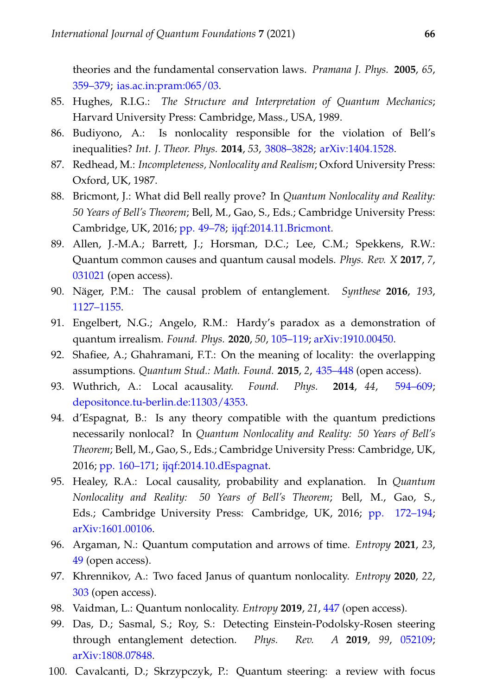theories and the fundamental conservation laws. *Pramana J. Phys.* **2005**, *65*, [359–379;](https://doi.org/10.1007/BF02704196) [ias.ac.in:pram:065/03.](https://www.ias.ac.in/article/fulltext/pram/065/03/0359-0379)

- <span id="page-19-0"></span>85. Hughes, R.I.G.: *The Structure and Interpretation of Quantum Mechanics*; Harvard University Press: Cambridge, Mass., USA, 1989.
- <span id="page-19-1"></span>86. Budiyono, A.: Is nonlocality responsible for the violation of Bell's inequalities? *Int. J. Theor. Phys.* **2014**, *53*, [3808–3828;](https://doi.org/10.1007/s10773-014-2134-5) [arXiv:1404.1528.](https://arxiv.org/abs/1404.1528)
- <span id="page-19-10"></span>87. Redhead, M.: *Incompleteness, Nonlocality and Realism*; Oxford University Press: Oxford, UK, 1987.
- <span id="page-19-2"></span>88. Bricmont, J.: What did Bell really prove? In *Quantum Nonlocality and Reality: 50 Years of Bell's Theorem*; Bell, M., Gao, S., Eds.; Cambridge University Press: Cambridge, UK, 2016; [pp. 49–78;](https://doi.org/10.1017/CBO9781316219393.006) [ijqf:2014.11.Bricmont.](https://ijqf.org/wp-content/uploads/2014/11/Bricmont-Bell-paper.pdf)
- <span id="page-19-3"></span>89. Allen, J.-M.A.; Barrett, J.; Horsman, D.C.; Lee, C.M.; Spekkens, R.W.: Quantum common causes and quantum causal models. *Phys. Rev. X* **2017**, *7*, [031021](https://doi.org/10.1103/PhysRevX.7.031021) (open access).
- <span id="page-19-4"></span>90. Näger, P.M.: The causal problem of entanglement. *Synthese* **2016**, *193*, [1127–1155.](https://doi.org/10.1007/s11229-015-0668-6)
- <span id="page-19-5"></span>91. Engelbert, N.G.; Angelo, R.M.: Hardy's paradox as a demonstration of quantum irrealism. *Found. Phys.* **2020**, *50*, [105–119;](https://doi.org/10.1007/s10701-020-00321-z) [arXiv:1910.00450.](http://arxiv.org/abs/1910.00450)
- 92. Shafiee, A.; Ghahramani, F.T.: On the meaning of locality: the overlapping assumptions. *Quantum Stud.: Math. Found.* **2015**, *2*, [435–448](https://doi.org/10.1007/s40509-015-0053-7) (open access).
- 93. Wuthrich, A.: Local acausality. *Found. Phys.* **2014**, *44*, [594–609;](https://doi.org/10.1007/s10701-014-9796-y) [depositonce.tu-berlin.de:11303/4353.](https://www.depositonce.tu-berlin.de/bitstream/11303/4353/2/wuethrich_adrian.pdf)
- 94. d'Espagnat, B.: Is any theory compatible with the quantum predictions necessarily nonlocal? In *Quantum Nonlocality and Reality: 50 Years of Bell's Theorem*; Bell, M., Gao, S., Eds.; Cambridge University Press: Cambridge, UK, 2016; [pp. 160–171;](https://doi.org/10.1017/CBO9781316219393.012) [ijqf:2014.10.dEspagnat.](https://ijqf.org/wp-content/uploads/2014/10/Bell-50-dEspagnat.pdf)
- <span id="page-19-6"></span>95. Healey, R.A.: Local causality, probability and explanation. In *Quantum Nonlocality and Reality: 50 Years of Bell's Theorem*; Bell, M., Gao, S., Eds.; Cambridge University Press: Cambridge, UK, 2016; [pp. 172–194;](https://doi.org/10.1017/CBO9781316219393.013) [arXiv:1601.00106.](https://arxiv.org/abs/1601.00106)
- <span id="page-19-7"></span>96. Argaman, N.: Quantum computation and arrows of time. *Entropy* **2021**, *23*, [49](https://doi.org/10.3390/e23010049) (open access).
- 97. Khrennikov, A.: Two faced Janus of quantum nonlocality. *Entropy* **2020**, *22*, [303](https://doi.org/10.3390/e22030303) (open access).
- <span id="page-19-9"></span><span id="page-19-8"></span>98. Vaidman, L.: Quantum nonlocality. *Entropy* **2019**, *21*, [447](http://dx.doi.org/10.3390/e21050447) (open access).
- 99. Das, D.; Sasmal, S.; Roy, S.: Detecting Einstein-Podolsky-Rosen steering through entanglement detection. *Phys. Rev. A* **2019**, *99*, [052109;](https://doi.org/10.1103/PhysRevA.99.052109) [arXiv:1808.07848.](http://arxiv.org/abs/1808.07848)
- 100. Cavalcanti, D.; Skrzypczyk, P.: Quantum steering: a review with focus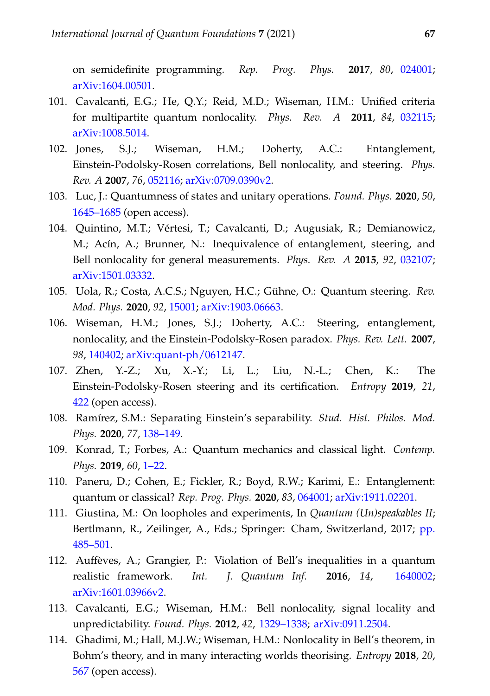on semidefinite programming. *Rep. Prog. Phys.* **2017**, *80*, [024001;](https://doi.org/10.1088/1361-6633/80/2/024001) [arXiv:1604.00501.](http://arxiv.org/abs/1604.00501)

- 101. Cavalcanti, E.G.; He, Q.Y.; Reid, M.D.; Wiseman, H.M.: Unified criteria for multipartite quantum nonlocality. *Phys. Rev. A* **2011**, *84*, [032115;](https://doi.org/10.1103/PhysRevA.84.032115) [arXiv:1008.5014.](http://arxiv.org/abs/1008.5014)
- 102. Jones, S.J.; Wiseman, H.M.; Doherty, A.C.: Entanglement, Einstein-Podolsky-Rosen correlations, Bell nonlocality, and steering. *Phys. Rev. A* **2007**, *76*, [052116;](https://doi.org/10.1103/PhysRevA.76.052116) [arXiv:0709.0390v2.](http://arxiv.org/abs/0709.0390v2)
- 103. Luc, J.: Quantumness of states and unitary operations. *Found. Phys.* **2020**, *50*, [1645–1685](https://doi.org/10.1007/s10701-020-00391-z) (open access).
- 104. Quintino, M.T.; Vértesi, T.; Cavalcanti, D.; Augusiak, R.; Demianowicz, M.; Acín, A.; Brunner, N.: Inequivalence of entanglement, steering, and Bell nonlocality for general measurements. *Phys. Rev. A* **2015**, *92*, [032107;](https://doi.org/10.1103/PhysRevA.92.032107) [arXiv:1501.03332.](http://arxiv.org/abs/1501.03332)
- 105. Uola, R.; Costa, A.C.S.; Nguyen, H.C.; Gühne, O.: Quantum steering. *Rev. Mod. Phys.* **2020**, *92*, [15001;](https://doi.org/10.1103/RevModPhys.92.015001) [arXiv:1903.06663.](http://arxiv.org/abs/1903.06663)
- 106. Wiseman, H.M.; Jones, S.J.; Doherty, A.C.: Steering, entanglement, nonlocality, and the Einstein-Podolsky-Rosen paradox. *Phys. Rev. Lett.* **2007**, *98*, [140402;](https://doi.org/10.1103/PhysRevLett.98.140402) [arXiv:quant-ph/0612147.](https://arxiv.org/abs/quant-ph/0612147)
- <span id="page-20-0"></span>107. Zhen, Y.-Z.; Xu, X.-Y.; Li, L.; Liu, N.-L.; Chen, K.: The Einstein-Podolsky-Rosen steering and its certification. *Entropy* **2019**, *21*, [422](https://doi.org/10.3390/e21040422) (open access).
- <span id="page-20-1"></span>108. Ramírez, S.M.: Separating Einstein's separability. *Stud. Hist. Philos. Mod. Phys.* **2020**, *77*, [138–149.](https://doi.org/10.1016/j.shpsb.2020.10.001)
- <span id="page-20-2"></span>109. Konrad, T.; Forbes, A.: Quantum mechanics and classical light. *Contemp. Phys.* **2019**, *60*, [1–22.](https://doi.org/10.1080/00107514.2019.1580433)
- <span id="page-20-3"></span>110. Paneru, D.; Cohen, E.; Fickler, R.; Boyd, R.W.; Karimi, E.: Entanglement: quantum or classical? *Rep. Prog. Phys.* **2020**, *83*, [064001;](https://doi.org/10.1088/1361-6633/ab85b9) [arXiv:1911.02201.](http://arxiv.org/abs/1911.02201)
- <span id="page-20-4"></span>111. Giustina, M.: On loopholes and experiments, In *Quantum (Un)speakables II*; Bertlmann, R., Zeilinger, A., Eds.; Springer: Cham, Switzerland, 2017; [pp.](https://doi.org/10.1007/978-3-319-38987-5_29) [485–501.](https://doi.org/10.1007/978-3-319-38987-5_29)
- <span id="page-20-5"></span>112. Auffèves, A.; Grangier, P.: Violation of Bell's inequalities in a quantum realistic framework. *Int. J. Quantum Inf.* **2016**, *14*, [1640002;](https://doi.org/10.1142/S0219749916400025) [arXiv:1601.03966v2.](https://arxiv.org/abs/1601.03966v2)
- 113. Cavalcanti, E.G.; Wiseman, H.M.: Bell nonlocality, signal locality and unpredictability. *Found. Phys.* **2012**, *42*, [1329–1338;](https://doi.org/10.1007/s10701-012-9669-1) [arXiv:0911.2504.](https://arxiv.org/abs/0911.2504)
- 114. Ghadimi, M.; Hall, M.J.W.; Wiseman, H.M.: Nonlocality in Bell's theorem, in Bohm's theory, and in many interacting worlds theorising. *Entropy* **2018**, *20*, [567](https://doi.org/10.3390/e20080567) (open access).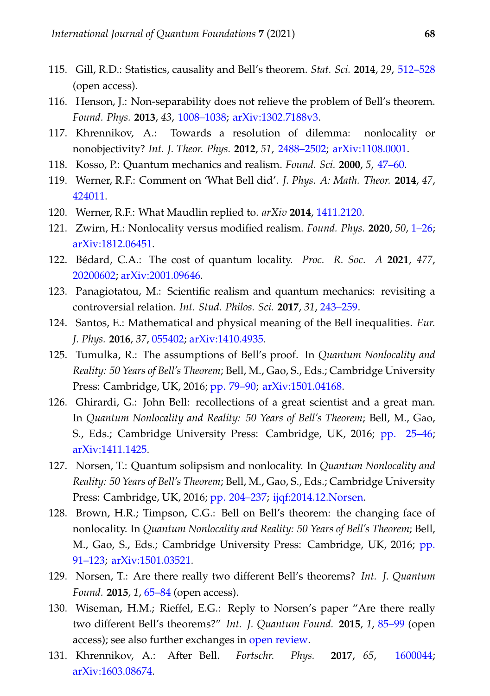- <span id="page-21-11"></span>115. Gill, R.D.: Statistics, causality and Bell's theorem. *Stat. Sci.* **2014**, *29*, [512–528](https://doi.org/10.1214/14-STS490) (open access).
- 116. Henson, J.: Non-separability does not relieve the problem of Bell's theorem. *Found. Phys.* **2013**, *43*, [1008–1038;](https://doi.org/10.1007/s10701-013-9730-8) [arXiv:1302.7188v3.](https://arxiv.org/abs/1302.7188v3)
- 117. Khrennikov, A.: Towards a resolution of dilemma: nonlocality or nonobjectivity? *Int. J. Theor. Phys.* **2012**, *51*, [2488–2502;](https://doi.org/10.1007/s10773-012-1129-3) [arXiv:1108.0001.](https://arxiv.org/abs/1108.0001)
- <span id="page-21-0"></span>118. Kosso, P.: Quantum mechanics and realism. *Found. Sci.* **2000**, *5*, [47–60.](https://doi.org/10.1023/A:1026563220257)
- <span id="page-21-1"></span>119. Werner, R.F.: Comment on 'What Bell did'. *J. Phys. A: Math. Theor.* **2014**, *47*, [424011.](http://dx.doi.org/10.1088/1751-8113/47/42/424011)
- 120. Werner, R.F.: What Maudlin replied to. *arXiv* **2014**, [1411.2120.](http://arxiv.org/abs/1411.2120)
- 121. Zwirn, H.: Nonlocality versus modified realism. *Found. Phys.* **2020**, *50*, [1–26;](https://doi.org/10.1007/s10701-019-00314-7) [arXiv:1812.06451.](http://arxiv.org/abs/1812.06451)
- <span id="page-21-2"></span>122. Bédard, C.A.: The cost of quantum locality. *Proc. R. Soc. A* **2021**, *477*, [20200602;](https://doi.org/10.1098/rspa.2020.0602) [arXiv:2001.09646.](http://arxiv.org/abs/2001.09646)
- <span id="page-21-3"></span>123. Panagiotatou, M.: Scientific realism and quantum mechanics: revisiting a controversial relation. *Int. Stud. Philos. Sci.* **2017**, *31*, [243–259.](https://doi.org/10.1080/02698595.2018.1463696)
- <span id="page-21-4"></span>124. Santos, E.: Mathematical and physical meaning of the Bell inequalities. *Eur. J. Phys.* **2016**, *37*, [055402;](http://dx.doi.org/10.1088/0143-0807/37/5/055402) [arXiv:1410.4935.](http://arxiv.org/abs/1410.4935)
- <span id="page-21-5"></span>125. Tumulka, R.: The assumptions of Bell's proof. In *Quantum Nonlocality and Reality: 50 Years of Bell's Theorem*; Bell, M., Gao, S., Eds.; Cambridge University Press: Cambridge, UK, 2016; [pp. 79–90;](https://doi.org/10.1017/CBO9781316219393.007) [arXiv:1501.04168.](https://arxiv.org/abs/1501.04168)
- <span id="page-21-6"></span>126. Ghirardi, G.: John Bell: recollections of a great scientist and a great man. In *Quantum Nonlocality and Reality: 50 Years of Bell's Theorem*; Bell, M., Gao, S., Eds.; Cambridge University Press: Cambridge, UK, 2016; [pp. 25–46;](https://doi.org/10.1017/CBO9781316219393.005) [arXiv:1411.1425.](https://arxiv.org/abs/1411.1425)
- <span id="page-21-7"></span>127. Norsen, T.: Quantum solipsism and nonlocality. In *Quantum Nonlocality and Reality: 50 Years of Bell's Theorem*; Bell, M., Gao, S., Eds.; Cambridge University Press: Cambridge, UK, 2016; [pp. 204–237;](https://doi.org/10.1017/CBO9781316219393.015) [ijqf:2014.12.Norsen.](https://ijqf.org/wp-content/uploads/2014/12/Norsen-Bell-paper.pdf)
- <span id="page-21-8"></span>128. Brown, H.R.; Timpson, C.G.: Bell on Bell's theorem: the changing face of nonlocality. In *Quantum Nonlocality and Reality: 50 Years of Bell's Theorem*; Bell, M., Gao, S., Eds.; Cambridge University Press: Cambridge, UK, 2016; [pp.](https://doi.org/10.1017/CBO9781316219393.008) [91–123;](https://doi.org/10.1017/CBO9781316219393.008) [arXiv:1501.03521.](https://arxiv.org/abs/1501.03521)
- 129. Norsen, T.: Are there really two different Bell's theorems? *Int. J. Quantum Found.* **2015**, *1*, [65–84](https://ijqf.org/wp-content/uploads/2015/03/IJQF2015v1n2p2.pdf) (open access).
- <span id="page-21-9"></span>130. Wiseman, H.M.; Rieffel, E.G.: Reply to Norsen's paper "Are there really two different Bell's theorems?" *Int. J. Quantum Found.* **2015**, *1*, [85–99](https://ijqf.org/wp-content/uploads/2015/03/IJQF2015v1n2p3.pdf) (open access); see also further exchanges in [open review.](https://ijqf.org/archives/1837)
- <span id="page-21-10"></span>131. Khrennikov, A.: After Bell. *Fortschr. Phys.* **2017**, *65*, [1600044;](https://doi.org/10.1002/prop.201600044) [arXiv:1603.08674.](https://arxiv.org/abs/1603.08674)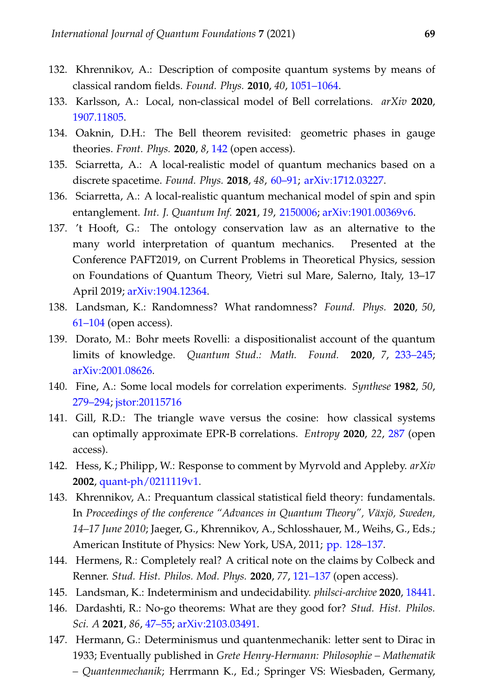- <span id="page-22-0"></span>132. Khrennikov, A.: Description of composite quantum systems by means of classical random fields. *Found. Phys.* **2010**, *40*, [1051–1064.](https://doi.org/10.1007/s10701-009-9392-8)
- 133. Karlsson, A.: Local, non-classical model of Bell correlations. *arXiv* **2020**, [1907.11805.](http://arxiv.org/abs/1907.11805)
- <span id="page-22-13"></span>134. Oaknin, D.H.: The Bell theorem revisited: geometric phases in gauge theories. *Front. Phys.* **2020**, *8*, [142](https://doi.org/10.3389/fphy.2020.00142) (open access).
- <span id="page-22-1"></span>135. Sciarretta, A.: A local-realistic model of quantum mechanics based on a discrete spacetime. *Found. Phys.* **2018**, *48*, [60–91;](https://doi.org/10.1007/s10701-017-0129-9) [arXiv:1712.03227.](https://arxiv.org/abs/1712.03227)
- <span id="page-22-2"></span>136. Sciarretta, A.: A local-realistic quantum mechanical model of spin and spin entanglement. *Int. J. Quantum Inf.* **2021**, *19*, [2150006;](https://doi.org/10.1142/S0219749921500064) [arXiv:1901.00369v6.](http://arxiv.org/abs/1901.00369v6)
- <span id="page-22-3"></span>137. 't Hooft, G.: The ontology conservation law as an alternative to the many world interpretation of quantum mechanics. Presented at the Conference PAFT2019, on Current Problems in Theoretical Physics, session on Foundations of Quantum Theory, Vietri sul Mare, Salerno, Italy, 13–17 April 2019; [arXiv:1904.12364.](http://arxiv.org/abs/1904.12364v1)
- <span id="page-22-4"></span>138. Landsman, K.: Randomness? What randomness? *Found. Phys.* **2020**, *50*, [61–104](https://doi.org/10.1007/s10701-020-00318-8) (open access).
- <span id="page-22-5"></span>139. Dorato, M.: Bohr meets Rovelli: a dispositionalist account of the quantum limits of knowledge. *Quantum Stud.: Math. Found.* **2020**, *7*, [233–245;](https://doi.org/10.1007/s40509-020-00220-y) [arXiv:2001.08626.](http://arxiv.org/abs/2001.08626)
- <span id="page-22-6"></span>140. Fine, A.: Some local models for correlation experiments. *Synthese* **1982**, *50*, [279–294;](https://doi.org/10.1007/BF00416904) [jstor:20115716](https://www.jstor.org/stable/20115716)
- 141. Gill, R.D.: The triangle wave versus the cosine: how classical systems can optimally approximate EPR-B correlations. *Entropy* **2020**, *22*, [287](https://doi.org/10.3390/e22030287) (open access).
- <span id="page-22-7"></span>142. Hess, K.; Philipp, W.: Response to comment by Myrvold and Appleby. *arXiv* **2002**, [quant-ph/0211119v1.](http://arxiv.org/abs/quant-ph/0211119v1)
- <span id="page-22-8"></span>143. Khrennikov, A.: Prequantum classical statistical field theory: fundamentals. In *Proceedings of the conference "Advances in Quantum Theory", Växjö, Sweden, 14–17 June 2010*; Jaeger, G., Khrennikov, A., Schlosshauer, M., Weihs, G., Eds.; American Institute of Physics: New York, USA, 2011; [pp. 128–137.](https://doi.org/10.1063/1.3567436)
- <span id="page-22-9"></span>144. Hermens, R.: Completely real? A critical note on the claims by Colbeck and Renner. *Stud. Hist. Philos. Mod. Phys.* **2020**, *77*, [121–137](https://doi.org/10.1016/j.shpsb.2020.08.005) (open access).
- <span id="page-22-11"></span><span id="page-22-10"></span>145. Landsman, K.: Indeterminism and undecidability. *philsci-archive* **2020**, [18441.](http://philsci-archive.pitt.edu/18441/)
- 146. Dardashti, R.: No-go theorems: What are they good for? *Stud. Hist. Philos. Sci. A* **2021**, *86*, [47–55;](https://doi.org/10.1016/j.shpsa.2021.01.005) [arXiv:2103.03491.](http://arxiv.org/abs/2103.03491)
- <span id="page-22-12"></span>147. Hermann, G.: Determinismus und quantenmechanik: letter sent to Dirac in 1933; Eventually published in *Grete Henry-Hermann: Philosophie – Mathematik – Quantenmechanik*; Herrmann K., Ed.; Springer VS: Wiesbaden, Germany,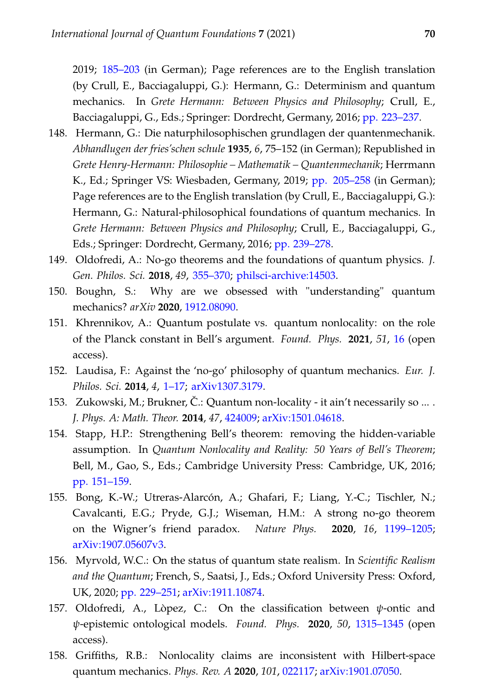2019; [185–203](https://doi.org/10.1007/978-3-658-16241-2_11) (in German); Page references are to the English translation (by Crull, E., Bacciagaluppi, G.): Hermann, G.: Determinism and quantum mechanics. In *Grete Hermann: Between Physics and Philosophy*; Crull, E., Bacciagaluppi, G., Eds.; Springer: Dordrecht, Germany, 2016; [pp. 223–237.](https://doi.org/10.1007/978-94-024-0970-3_14)

- <span id="page-23-0"></span>148. Hermann, G.: Die naturphilosophischen grundlagen der quantenmechanik. *Abhandlugen der fries'schen schule* **1935**, *6*, 75–152 (in German); Republished in *Grete Henry-Hermann: Philosophie – Mathematik – Quantenmechanik*; Herrmann K., Ed.; Springer VS: Wiesbaden, Germany, 2019; [pp. 205–258](https://doi.org/10.1007/978-3-658-16241-2_12) (in German); Page references are to the English translation (by Crull, E., Bacciagaluppi, G.): Hermann, G.: Natural-philosophical foundations of quantum mechanics. In *Grete Hermann: Between Physics and Philosophy*; Crull, E., Bacciagaluppi, G., Eds.; Springer: Dordrecht, Germany, 2016; [pp. 239–278.](https://doi.org/10.1007/978-94-024-0970-3_15)
- <span id="page-23-1"></span>149. Oldofredi, A.: No-go theorems and the foundations of quantum physics. *J. Gen. Philos. Sci.* **2018**, *49*, [355–370;](https://doi.org/10.1007/s10838-018-9404-5) [philsci-archive:14503.](http://philsci-archive.pitt.edu/14503/)
- 150. Boughn, S.: Why are we obsessed with "understanding" quantum mechanics? *arXiv* **2020**, [1912.08090.](http://arxiv.org/abs/1912.08090)
- <span id="page-23-2"></span>151. Khrennikov, A.: Quantum postulate vs. quantum nonlocality: on the role of the Planck constant in Bell's argument. *Found. Phys.* **2021**, *51*, [16](https://doi.org/10.1007/s10701-021-00430-3) (open access).
- <span id="page-23-3"></span>152. Laudisa, F.: Against the 'no-go' philosophy of quantum mechanics. *Eur. J. Philos. Sci.* **2014**, *4*, [1–17;](https://doi.org/10.1007/s13194-013-0071-4) [arXiv1307.3179.](https://arxiv.org/abs/1307.3179)
- <span id="page-23-4"></span>153. Zukowski, M.; Brukner, Č.: Quantum non-locality - it ain't necessarily so ... . *J. Phys. A: Math. Theor.* **2014**, *47*, [424009;](https://doi.org/10.1088/1751-8113/47/42/424009) [arXiv:1501.04618.](http://arxiv.org/abs/1501.04618)
- <span id="page-23-5"></span>154. Stapp, H.P.: Strengthening Bell's theorem: removing the hidden-variable assumption. In *Quantum Nonlocality and Reality: 50 Years of Bell's Theorem*; Bell, M., Gao, S., Eds.; Cambridge University Press: Cambridge, UK, 2016; [pp. 151–159.](https://doi.org/10.1017/CBO9781316219393.011)
- <span id="page-23-6"></span>155. Bong, K.-W.; Utreras-Alarcón, A.; Ghafari, F.; Liang, Y.-C.; Tischler, N.; Cavalcanti, E.G.; Pryde, G.J.; Wiseman, H.M.: A strong no-go theorem on the Wigner's friend paradox. *Nature Phys.* **2020**, *16*, [1199–1205;](https://doi.org/10.1038/s41567-020-0990-x) [arXiv:1907.05607v3.](http://arxiv.org/abs/1907.05607v3)
- 156. Myrvold, W.C.: On the status of quantum state realism. In *Scientific Realism and the Quantum*; French, S., Saatsi, J., Eds.; Oxford University Press: Oxford, UK, 2020; [pp. 229–251;](https://doi.org/10.1093/oso/9780198814979.003.0012) [arXiv:1911.10874.](http://arxiv.org/abs/1911.10874)
- <span id="page-23-7"></span>157. Oldofredi, A., Lòpez, C.: On the classification between *ψ*-ontic and *ψ*-epistemic ontological models. *Found. Phys.* **2020**, *50*, [1315–1345](https://doi.org/10.1007/s10701-020-00377-x) (open access).
- <span id="page-23-8"></span>158. Griffiths, R.B.: Nonlocality claims are inconsistent with Hilbert-space quantum mechanics. *Phys. Rev. A* **2020**, *101*, [022117;](https://doi.org/10.1103/PhysRevA.101.022117) [arXiv:1901.07050.](http://arxiv.org/abs/1901.07050)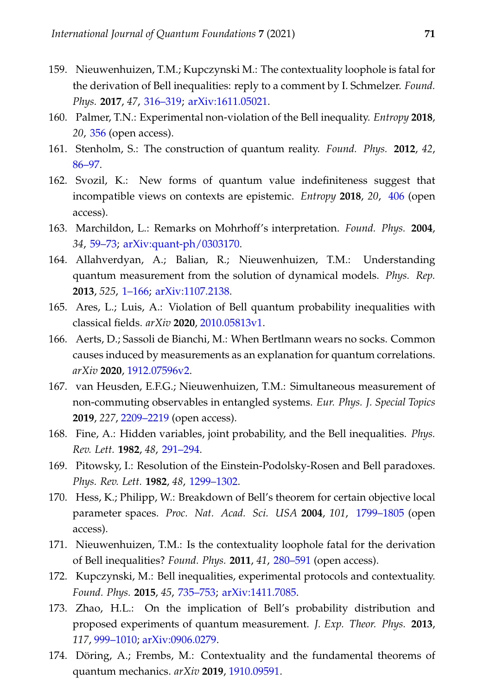- <span id="page-24-11"></span>159. Nieuwenhuizen, T.M.; Kupczynski M.: The contextuality loophole is fatal for the derivation of Bell inequalities: reply to a comment by I. Schmelzer. *Found. Phys.* **2017**, *47*, [316–319;](https://doi.org/10.1007/s10701-017-0062-y) [arXiv:1611.05021.](https://arxiv.org/abs/1611.05021)
- <span id="page-24-0"></span>160. Palmer, T.N.: Experimental non-violation of the Bell inequality. *Entropy* **2018**, *20*, [356](https://doi.org/10.3390/e20050356) (open access).
- <span id="page-24-1"></span>161. Stenholm, S.: The construction of quantum reality. *Found. Phys.* **2012**, *42*, [86–97.](https://doi.org/10.1007/s10701-010-9519-y)
- <span id="page-24-2"></span>162. Svozil, K.: New forms of quantum value indefiniteness suggest that incompatible views on contexts are epistemic. *Entropy* **2018**, *20*, [406](https://doi.org/10.3390/e20060406) (open access).
- <span id="page-24-3"></span>163. Marchildon, L.: Remarks on Mohrhoff's interpretation. *Found. Phys.* **2004**, *34*, [59–73;](https://doi.org/10.1023/B:FOOP.0000012009.79192.ff) [arXiv:quant-ph/0303170.](https://arxiv.org/abs/quant-ph/0303170)
- <span id="page-24-4"></span>164. Allahverdyan, A.; Balian, R.; Nieuwenhuizen, T.M.: Understanding quantum measurement from the solution of dynamical models. *Phys. Rep.* **2013**, *525*, [1–166;](https://doi.org/10.1016/j.physrep.2012.11.001) [arXiv:1107.2138.](https://arxiv.org/abs/1107.2138)
- <span id="page-24-5"></span>165. Ares, L.; Luis, A.: Violation of Bell quantum probability inequalities with classical fields. *arXiv* **2020**, [2010.05813v1.](http://arxiv.org/abs/2010.05813v1)
- <span id="page-24-6"></span>166. Aerts, D.; Sassoli de Bianchi, M.: When Bertlmann wears no socks. Common causes induced by measurements as an explanation for quantum correlations. *arXiv* **2020**, [1912.07596v2.](http://arxiv.org/abs/1912.07596v2)
- <span id="page-24-7"></span>167. van Heusden, E.F.G.; Nieuwenhuizen, T.M.: Simultaneous measurement of non-commuting observables in entangled systems. *Eur. Phys. J. Special Topics* **2019**, *227*, [2209–2219](https://doi.org/10.1140/epjst/e2019-800216-2) (open access).
- <span id="page-24-8"></span>168. Fine, A.: Hidden variables, joint probability, and the Bell inequalities. *Phys. Rev. Lett.* **1982**, *48*, [291–294.](https://doi.org/10.1103/PhysRevLett.48.291)
- 169. Pitowsky, I.: Resolution of the Einstein-Podolsky-Rosen and Bell paradoxes. *Phys. Rev. Lett.* **1982**, *48*, [1299–1302.](https://doi.org/10.1103/PhysRevLett.48.1299)
- 170. Hess, K.; Philipp, W.: Breakdown of Bell's theorem for certain objective local parameter spaces. *Proc. Nat. Acad. Sci. USA* **2004**, *101*, [1799–1805](https://doi.org/10.1073/pnas.0307479100) (open access).
- 171. Nieuwenhuizen, T.M.: Is the contextuality loophole fatal for the derivation of Bell inequalities? *Found. Phys.* **2011**, *41*, [280–591](https://doi.org/10.1007/s10701-010-9461-z) (open access).
- 172. Kupczynski, M.: Bell inequalities, experimental protocols and contextuality. *Found. Phys.* **2015**, *45*, [735–753;](https://doi.org/10.1007/s10701-014-9863-4) [arXiv:1411.7085.](https://arxiv.org/abs/1411.7085)
- <span id="page-24-9"></span>173. Zhao, H.L.: On the implication of Bell's probability distribution and proposed experiments of quantum measurement. *J. Exp. Theor. Phys.* **2013**, *117*, [999–1010;](https://doi.org/10.1134/S1063776113140070) [arXiv:0906.0279.](http://arxiv.org/abs/0906.0279)
- <span id="page-24-10"></span>174. Döring, A.; Frembs, M.: Contextuality and the fundamental theorems of quantum mechanics. *arXiv* **2019**, [1910.09591.](http://arxiv.org/abs/1910.09591)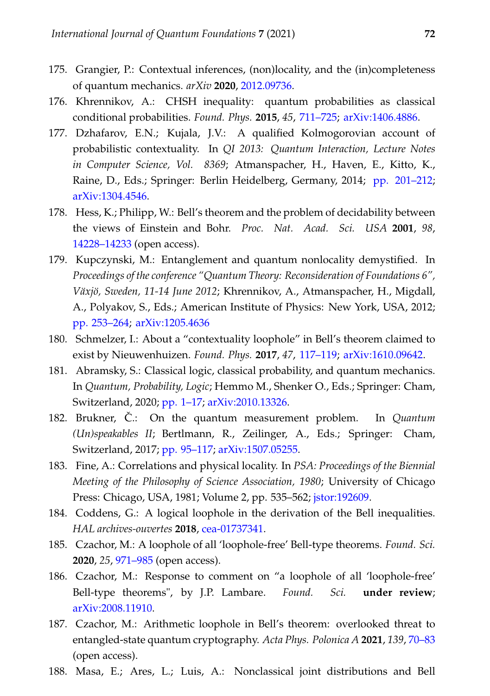- <span id="page-25-0"></span>175. Grangier, P.: Contextual inferences, (non)locality, and the (in)completeness of quantum mechanics. *arXiv* **2020**, [2012.09736.](http://arxiv.org/abs/2012.09736)
- 176. Khrennikov, A.: CHSH inequality: quantum probabilities as classical conditional probabilities. *Found. Phys.* **2015**, *45*, [711–725;](https://doi.org/10.1007/s10701-014-9851-8) [arXiv:1406.4886.](https://arxiv.org/abs/1406.4886)
- 177. Dzhafarov, E.N.; Kujala, J.V.: A qualified Kolmogorovian account of probabilistic contextuality. In *QI 2013: Quantum Interaction, Lecture Notes in Computer Science, Vol. 8369*; Atmanspacher, H., Haven, E., Kitto, K., Raine, D., Eds.; Springer: Berlin Heidelberg, Germany, 2014; [pp. 201–212;](https://doi.org/10.1007/978-3-642-54943-4_18) [arXiv:1304.4546.](https://arxiv.org/abs/1304.4546)
- 178. Hess, K.; Philipp, W.: Bell's theorem and the problem of decidability between the views of Einstein and Bohr. *Proc. Nat. Acad. Sci. USA* **2001**, *98*, [14228–14233](https://doi.org/10.1073/pnas.251525098) (open access).
- <span id="page-25-1"></span>179. Kupczynski, M.: Entanglement and quantum nonlocality demystified. In *Proceedings of the conference "Quantum Theory: Reconsideration of Foundations 6", Växjö, Sweden, 11-14 June 2012*; Khrennikov, A., Atmanspacher, H., Migdall, A., Polyakov, S., Eds.; American Institute of Physics: New York, USA, 2012; [pp. 253–264;](https://doi.org/10.1063/1.4773137) [arXiv:1205.4636](https://arxiv.org/abs/1205.4636)
- <span id="page-25-2"></span>180. Schmelzer, I.: About a "contextuality loophole" in Bell's theorem claimed to exist by Nieuwenhuizen. *Found. Phys.* **2017**, *47*, [117–119;](https://doi.org/10.1007/s10701-016-0047-2) [arXiv:1610.09642.](https://arxiv.org/abs/1610.09642)
- <span id="page-25-3"></span>181. Abramsky, S.: Classical logic, classical probability, and quantum mechanics. In *Quantum, Probability, Logic*; Hemmo M., Shenker O., Eds.; Springer: Cham, Switzerland, 2020; [pp. 1–17;](https://doi.org/10.1007/978-3-030-34316-3_1) [arXiv:2010.13326.](http://arxiv.org/abs/2010.13326)
- <span id="page-25-4"></span>182. Brukner,  $\check{C}$ .: On the quantum measurement problem. In *Quantum (Un)speakables II*; Bertlmann, R., Zeilinger, A., Eds.; Springer: Cham, Switzerland, 2017; [pp. 95–117;](https://doi.org/10.1007/978-3-319-38987-5_5) [arXiv:1507.05255.](http://arxiv.org/abs/1507.05255)
- <span id="page-25-5"></span>183. Fine, A.: Correlations and physical locality. In *PSA: Proceedings of the Biennial Meeting of the Philosophy of Science Association, 1980*; University of Chicago Press: Chicago, USA, 1981; Volume 2, pp. 535–562; [jstor:192609.](https://www.jstor.org/stable/192609)
- <span id="page-25-6"></span>184. Coddens, G.: A logical loophole in the derivation of the Bell inequalities. *HAL archives-ouvertes* **2018**, [cea-01737341.](https://hal-cea.archives-ouvertes.fr/cea-01737341v7)
- 185. Czachor, M.: A loophole of all 'loophole-free' Bell-type theorems. *Found. Sci.* **2020**, *25*, [971–985](https://doi.org/10.1007/s10699-020-09666-0) (open access).
- 186. Czachor, M.: Response to comment on "a loophole of all 'loophole-free' Bell-type theorems", by J.P. Lambare. *Found. Sci.* **under review**; [arXiv:2008.11910.](http://arxiv.org/abs/2008.11910)
- <span id="page-25-7"></span>187. Czachor, M.: Arithmetic loophole in Bell's theorem: overlooked threat to entangled-state quantum cryptography. *Acta Phys. Polonica A* **2021**, *139*, [70–83](http://dx.doi.org/10.12693/APhysPolA.139.70) (open access).
- <span id="page-25-8"></span>188. Masa, E.; Ares, L.; Luis, A.: Nonclassical joint distributions and Bell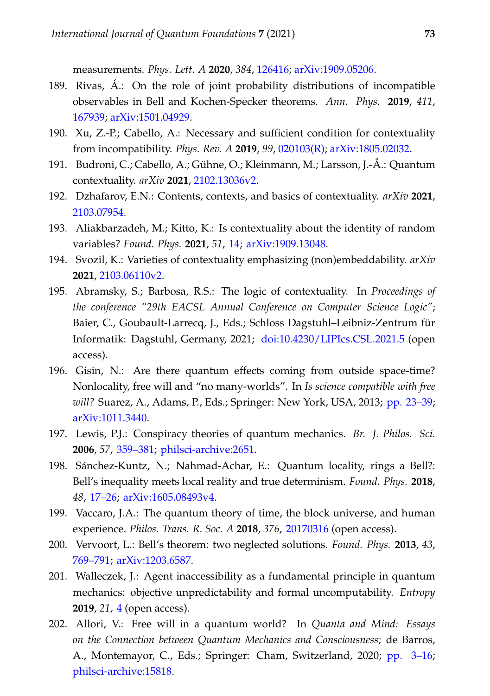measurements. *Phys. Lett. A* **2020**, *384*, [126416;](https://doi.org/10.1016/j.physleta.2020.126416) [arXiv:1909.05206.](http://arxiv.org/abs/1909.05206)

- <span id="page-26-0"></span>189. Rivas, Á.: On the role of joint probability distributions of incompatible observables in Bell and Kochen-Specker theorems. *Ann. Phys.* **2019**, *411*, [167939;](https://doi.org/10.1016/j.aop.2019.167939) [arXiv:1501.04929.](http://arxiv.org/abs/1501.04929)
- <span id="page-26-1"></span>190. Xu, Z.-P.; Cabello, A.: Necessary and sufficient condition for contextuality from incompatibility. *Phys. Rev. A* **2019**, *99*, [020103\(R\);](https://doi.org/10.1103/PhysRevA.99.020103) [arXiv:1805.02032.](http://arxiv.org/abs/1805.02032)
- 191. Budroni, C.; Cabello, A.; Gühne, O.; Kleinmann, M.; Larsson, J.-Å.: Quantum contextuality. *arXiv* **2021**, [2102.13036v2.](http://arxiv.org/abs/2102.13036v2)
- 192. Dzhafarov, E.N.: Contents, contexts, and basics of contextuality. *arXiv* **2021**, [2103.07954.](http://arxiv.org/abs/2103.07954)
- 193. Aliakbarzadeh, M.; Kitto, K.: Is contextuality about the identity of random variables? *Found. Phys.* **2021**, *51*, [14;](https://doi.org/10.1007/s10701-021-00402-7) [arXiv:1909.13048.](https://arxiv.org/abs/1909.13048)
- 194. Svozil, K.: Varieties of contextuality emphasizing (non)embeddability. *arXiv* **2021**, [2103.06110v2.](http://arxiv.org/abs/2103.06110v2)
- <span id="page-26-2"></span>195. Abramsky, S.; Barbosa, R.S.: The logic of contextuality. In *Proceedings of the conference "29th EACSL Annual Conference on Computer Science Logic"*; Baier, C., Goubault-Larrecq, J., Eds.; Schloss Dagstuhl–Leibniz-Zentrum für Informatik: Dagstuhl, Germany, 2021; [doi:10.4230/LIPIcs.CSL.2021.5](https://doi.org/10.4230/LIPIcs.CSL.2021.5) (open access).
- <span id="page-26-3"></span>196. Gisin, N.: Are there quantum effects coming from outside space-time? Nonlocality, free will and "no many-worlds". In *Is science compatible with free will?* Suarez, A., Adams, P., Eds.; Springer: New York, USA, 2013; [pp. 23–39;](https://doi.org/10.1007/978-1-4614-5212-6_3) [arXiv:1011.3440.](https://arxiv.org/abs/1011.3440)
- <span id="page-26-4"></span>197. Lewis, P.J.: Conspiracy theories of quantum mechanics. *Br. J. Philos. Sci.* **2006**, *57*, [359–381;](https://doi.org/10.1093/bjps/axl006) [philsci-archive:2651.](http://philsci-archive.pitt.edu/2651/)
- <span id="page-26-5"></span>198. Sánchez-Kuntz, N.; Nahmad-Achar, E.: Quantum locality, rings a Bell?: Bell's inequality meets local reality and true determinism. *Found. Phys.* **2018**, *48*, [17–26;](https://doi.org/10.1007/s10701-017-0126-z) [arXiv:1605.08493v4.](https://arxiv.org/abs/1605.08493v4)
- <span id="page-26-6"></span>199. Vaccaro, J.A.: The quantum theory of time, the block universe, and human experience. *Philos. Trans. R. Soc. A* **2018**, *376*, [20170316](https://doi.org/10.1098/rsta.2017.0316) (open access).
- <span id="page-26-7"></span>200. Vervoort, L.: Bell's theorem: two neglected solutions. *Found. Phys.* **2013**, *43*, [769–791;](https://doi.org/10.1007/s10701-013-9715-7) [arXiv:1203.6587.](https://arxiv.org/abs/1203.6587)
- <span id="page-26-8"></span>201. Walleczek, J.: Agent inaccessibility as a fundamental principle in quantum mechanics: objective unpredictability and formal uncomputability. *Entropy* **2019**, *21*, [4](https://doi.org/10.3390/e21010004) (open access).
- <span id="page-26-9"></span>202. Allori, V.: Free will in a quantum world? In *Quanta and Mind: Essays on the Connection between Quantum Mechanics and Consciousness*; de Barros, A., Montemayor, C., Eds.; Springer: Cham, Switzerland, 2020; [pp. 3–16;](https://doi.org/10.1007/978-3-030-21908-6) [philsci-archive:15818.](http://philsci-archive.pitt.edu/15818/)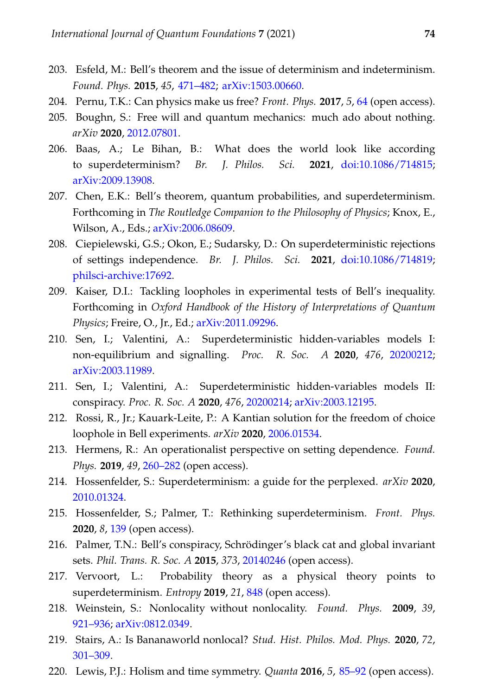- <span id="page-27-0"></span>203. Esfeld, M.: Bell's theorem and the issue of determinism and indeterminism. *Found. Phys.* **2015**, *45*, [471–482;](https://doi.org/10.1007/s10701-015-9883-8) [arXiv:1503.00660.](https://arxiv.org/abs/1503.00660)
- <span id="page-27-1"></span>204. Pernu, T.K.: Can physics make us free? *Front. Phys.* **2017**, *5*, [64](https://doi.org/10.3389/fphy.2017.00064) (open access).
- <span id="page-27-2"></span>205. Boughn, S.: Free will and quantum mechanics: much ado about nothing. *arXiv* **2020**, [2012.07801.](http://arxiv.org/abs/2012.07801)
- <span id="page-27-3"></span>206. Baas, A.; Le Bihan, B.: What does the world look like according to superdeterminism? *Br. J. Philos. Sci.* **2021**, [doi:10.1086/714815;](https://doi.org/10.1086/714815) [arXiv:2009.13908.](http://arxiv.org/abs/2009.13908)
- 207. Chen, E.K.: Bell's theorem, quantum probabilities, and superdeterminism. Forthcoming in *The Routledge Companion to the Philosophy of Physics*; Knox, E., Wilson, A., Eds.; [arXiv:2006.08609.](http://arxiv.org/abs/2006.08609)
- <span id="page-27-4"></span>208. Ciepielewski, G.S.; Okon, E.; Sudarsky, D.: On superdeterministic rejections of settings independence. *Br. J. Philos. Sci.* **2021**, [doi:10.1086/714819;](https://doi.org/10.1086/714819) [philsci-archive:17692.](http://philsci-archive.pitt.edu/17692/)
- <span id="page-27-5"></span>209. Kaiser, D.I.: Tackling loopholes in experimental tests of Bell's inequality. Forthcoming in *Oxford Handbook of the History of Interpretations of Quantum Physics*; Freire, O., Jr., Ed.; [arXiv:2011.09296.](http://arxiv.org/abs/2011.09296)
- <span id="page-27-6"></span>210. Sen, I.; Valentini, A.: Superdeterministic hidden-variables models I: non-equilibrium and signalling. *Proc. R. Soc. A* **2020**, *476*, [20200212;](https://doi.org/10.1098/rspa.2020.0212) [arXiv:2003.11989.](http://arxiv.org/abs/2003.11989)
- <span id="page-27-7"></span>211. Sen, I.; Valentini, A.: Superdeterministic hidden-variables models II: conspiracy. *Proc. R. Soc. A* **2020**, *476*, [20200214;](https://doi.org/10.1098/rspa.2020.0214) [arXiv:2003.12195.](http://arxiv.org/abs/2003.12195)
- <span id="page-27-8"></span>212. Rossi, R., Jr.; Kauark-Leite, P.: A Kantian solution for the freedom of choice loophole in Bell experiments. *arXiv* **2020**, [2006.01534.](http://arxiv.org/abs/2006.01534)
- <span id="page-27-9"></span>213. Hermens, R.: An operationalist perspective on setting dependence. *Found. Phys.* **2019**, *49*, [260–282](https://doi.org/10.1007/s10701-019-00243-5) (open access).
- 214. Hossenfelder, S.: Superdeterminism: a guide for the perplexed. *arXiv* **2020**, [2010.01324.](http://arxiv.org/abs/2010.01324)
- 215. Hossenfelder, S.; Palmer, T.: Rethinking superdeterminism. *Front. Phys.* **2020**, *8*, [139](https://doi.org/10.3389/fphy.2020.00139) (open access).
- 216. Palmer, T.N.: Bell's conspiracy, Schrödinger's black cat and global invariant sets. *Phil. Trans. R. Soc. A* **2015**, *373*, [20140246](https://doi.org/10.1098/rsta.2014.0246) (open access).
- 217. Vervoort, L.: Probability theory as a physical theory points to superdeterminism. *Entropy* **2019**, *21*, [848](http://dx.doi.org/10.3390/e21090848) (open access).
- <span id="page-27-10"></span>218. Weinstein, S.: Nonlocality without nonlocality. *Found. Phys.* **2009**, *39*, [921–936;](https://doi.org/10.1007/s10701-009-9305-x) [arXiv:0812.0349.](http://arxiv.org/abs/0812.0349)
- <span id="page-27-11"></span>219. Stairs, A.: Is Bananaworld nonlocal? *Stud. Hist. Philos. Mod. Phys.* **2020**, *72*, [301–309.](https://doi.org/10.1016/j.shpsb.2019.08.001)
- <span id="page-27-12"></span>220. Lewis, P.J.: Holism and time symmetry. *Quanta* **2016**, *5*, [85–92](https://doi.org/10.12743/quanta.v5i1.51) (open access).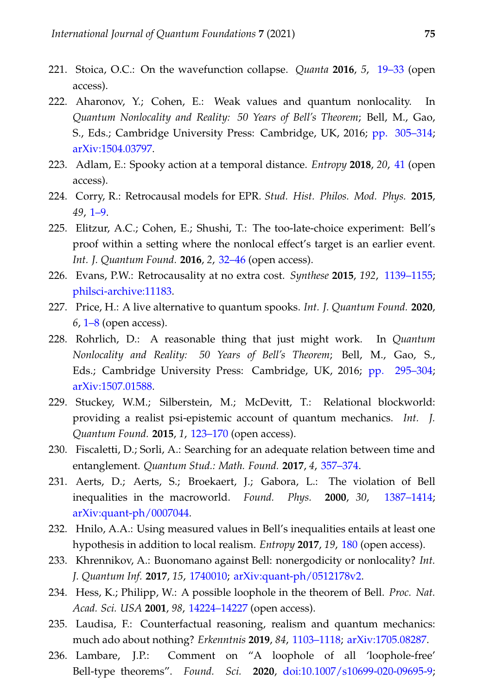- 221. Stoica, O.C.: On the wavefunction collapse. *Quanta* **2016**, *5*, [19–33](https://doi.org/10.12743/quanta.v5i1.40) (open access).
- <span id="page-28-0"></span>222. Aharonov, Y.; Cohen, E.: Weak values and quantum nonlocality. In *Quantum Nonlocality and Reality: 50 Years of Bell's Theorem*; Bell, M., Gao, S., Eds.; Cambridge University Press: Cambridge, UK, 2016; [pp. 305–314;](https://doi.org/10.1017/CBO9781316219393.020) [arXiv:1504.03797.](https://arxiv.org/abs/1504.03797)
- <span id="page-28-1"></span>223. Adlam, E.: Spooky action at a temporal distance. *Entropy* **2018**, *20*, [41](https://doi.org/10.3390/e20010041) (open access).
- <span id="page-28-2"></span>224. Corry, R.: Retrocausal models for EPR. *Stud. Hist. Philos. Mod. Phys.* **2015**, *49*, [1–9.](https://doi.org/10.1016/j.shpsb.2014.11.001)
- 225. Elitzur, A.C.; Cohen, E.; Shushi, T.: The too-late-choice experiment: Bell's proof within a setting where the nonlocal effect's target is an earlier event. *Int. J. Quantum Found.* **2016**, *2*, [32–46](http://www.ijqf.org/wps/wp-content/uploads/2016/03/IJQF2016v2n2p1.pdf) (open access).
- 226. Evans, P.W.: Retrocausality at no extra cost. *Synthese* **2015**, *192*, [1139–1155;](https://doi.org/10.1007/s11229-014-0605-0) [philsci-archive:11183.](http://philsci-archive.pitt.edu/11183/)
- 227. Price, H.: A live alternative to quantum spooks. *Int. J. Quantum Found.* **2020**, *6*, [1–8](https://ijqf.org/wp-content/uploads/2020/01/IJQF2020v6n1p1.pdf) (open access).
- <span id="page-28-3"></span>228. Rohrlich, D.: A reasonable thing that just might work. In *Quantum Nonlocality and Reality: 50 Years of Bell's Theorem*; Bell, M., Gao, S., Eds.; Cambridge University Press: Cambridge, UK, 2016; [pp. 295–304;](https://doi.org/10.1017/CBO9781316219393.019) [arXiv:1507.01588.](https://arxiv.org/abs/1507.01588)
- <span id="page-28-4"></span>229. Stuckey, W.M.; Silberstein, M.; McDevitt, T.: Relational blockworld: providing a realist psi-epistemic account of quantum mechanics. *Int. J. Quantum Found.* **2015**, *1*, [123–170](http://www.ijqf.org/wps/wp-content/uploads/2015/06/IJQF2015v1n3p2.pdf) (open access).
- <span id="page-28-5"></span>230. Fiscaletti, D.; Sorli, A.: Searching for an adequate relation between time and entanglement. *Quantum Stud.: Math. Found.* **2017**, *4*, [357–374.](https://doi.org/10.1007/s40509-017-0110-5)
- <span id="page-28-6"></span>231. Aerts, D.; Aerts, S.; Broekaert, J.; Gabora, L.: The violation of Bell inequalities in the macroworld. *Found. Phys.* **2000**, *30*, [1387–1414;](https://doi.org/10.1023/A:1026449716544) [arXiv:quant-ph/0007044.](https://arxiv.org/abs/quant-ph/0007044)
- <span id="page-28-7"></span>232. Hnilo, A.A.: Using measured values in Bell's inequalities entails at least one hypothesis in addition to local realism. *Entropy* **2017**, *19*, [180](https://doi.org/10.3390/e19040180) (open access).
- <span id="page-28-8"></span>233. Khrennikov, A.: Buonomano against Bell: nonergodicity or nonlocality? *Int. J. Quantum Inf.* **2017**, *15*, [1740010;](https://doi.org/10.1142/S021974991740010X) [arXiv:quant-ph/0512178v2.](https://arxiv.org/abs/quant-ph/0512178v2)
- <span id="page-28-9"></span>234. Hess, K.; Philipp, W.: A possible loophole in the theorem of Bell. *Proc. Nat. Acad. Sci. USA* **2001**, *98*, [14224–14227](https://doi.org/10.1073/pnas.251524998) (open access).
- <span id="page-28-10"></span>235. Laudisa, F.: Counterfactual reasoning, realism and quantum mechanics: much ado about nothing? *Erkenntnis* **2019**, *84*, [1103–1118;](https://doi.org/10.1007/s10670-018-9997-4) [arXiv:1705.08287.](https://arxiv.org/abs/1705.08287)
- <span id="page-28-11"></span>236. Lambare, J.P.: Comment on "A loophole of all 'loophole-free' Bell-type theorems". *Found. Sci.* **2020**, [doi:10.1007/s10699-020-09695-9;](https://doi.org/10.1007/s10699-020-09695-9)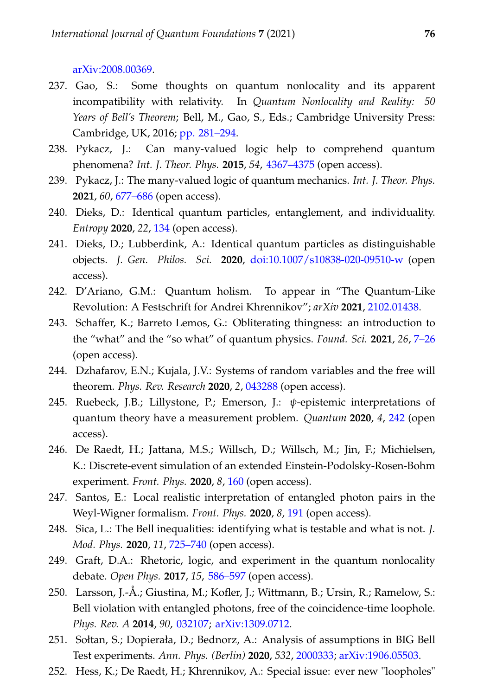[arXiv:2008.00369.](http://arxiv.org/abs/2008.00369)

- <span id="page-29-0"></span>237. Gao, S.: Some thoughts on quantum nonlocality and its apparent incompatibility with relativity. In *Quantum Nonlocality and Reality: 50 Years of Bell's Theorem*; Bell, M., Gao, S., Eds.; Cambridge University Press: Cambridge, UK, 2016; [pp. 281–294.](https://doi.org/10.1017/CBO9781316219393.018)
- <span id="page-29-1"></span>238. Pykacz, J.: Can many-valued logic help to comprehend quantum phenomena? *Int. J. Theor. Phys.* **2015**, *54*, [4367–4375](https://doi.org/10.1007/s10773-015-2554-x) (open access).
- <span id="page-29-2"></span>239. Pykacz, J.: The many-valued logic of quantum mechanics. *Int. J. Theor. Phys.* **2021**, *60*, [677–686](https://doi.org/10.1007/s10773-019-04050-6) (open access).
- <span id="page-29-3"></span>240. Dieks, D.: Identical quantum particles, entanglement, and individuality. *Entropy* **2020**, *22*, [134](https://doi.org/10.3390/e22020134) (open access).
- <span id="page-29-4"></span>241. Dieks, D.; Lubberdink, A.: Identical quantum particles as distinguishable objects. *J. Gen. Philos. Sci.* **2020**, [doi:10.1007/s10838-020-09510-w](https://doi.org/10.1007/s10838-020-09510-w) (open access).
- <span id="page-29-5"></span>242. D'Ariano, G.M.: Quantum holism. To appear in "The Quantum-Like Revolution: A Festschrift for Andrei Khrennikov"; *arXiv* **2021**, [2102.01438.](https://arxiv.org/abs/2102.01438)
- <span id="page-29-6"></span>243. Schaffer, K.; Barreto Lemos, G.: Obliterating thingness: an introduction to the "what" and the "so what" of quantum physics. *Found. Sci.* **2021**, *26*, [7–26](https://doi.org/10.1007/s10699-019-09608-5) (open access).
- <span id="page-29-7"></span>244. Dzhafarov, E.N.; Kujala, J.V.: Systems of random variables and the free will theorem. *Phys. Rev. Research* **2020**, *2*, [043288](https://doi.org/10.1103/PhysRevResearch.2.043288) (open access).
- <span id="page-29-8"></span>245. Ruebeck, J.B.; Lillystone, P.; Emerson, J.: *ψ*-epistemic interpretations of quantum theory have a measurement problem. *Quantum* **2020**, *4*, [242](https://doi.org/10.22331/q-2020-03-16-242) (open access).
- <span id="page-29-9"></span>246. De Raedt, H.; Jattana, M.S.; Willsch, D.; Willsch, M.; Jin, F.; Michielsen, K.: Discrete-event simulation of an extended Einstein-Podolsky-Rosen-Bohm experiment. *Front. Phys.* **2020**, *8*, [160](https://doi.org/10.3389/fphy.2020.00160) (open access).
- <span id="page-29-10"></span>247. Santos, E.: Local realistic interpretation of entangled photon pairs in the Weyl-Wigner formalism. *Front. Phys.* **2020**, *8*, [191](https://doi.org/10.3389/fphy.2020.00191) (open access).
- <span id="page-29-11"></span>248. Sica, L.: The Bell inequalities: identifying what is testable and what is not. *J. Mod. Phys.* **2020**, *11*, [725–740](https://doi.org/10.4236/jmp.2020.115047) (open access).
- <span id="page-29-12"></span>249. Graft, D.A.: Rhetoric, logic, and experiment in the quantum nonlocality debate. *Open Phys.* **2017**, *15*, [586–597](https://doi.org/10.1515/phys-2017-0068) (open access).
- 250. Larsson, J.-Å.; Giustina, M.; Kofler, J.; Wittmann, B.; Ursin, R.; Ramelow, S.: Bell violation with entangled photons, free of the coincidence-time loophole. *Phys. Rev. A* **2014**, *90*, [032107;](https://doi.org/10.1103/PhysRevA.90.032107) [arXiv:1309.0712.](https://arxiv.org/abs/1309.0712)
- <span id="page-29-13"></span>251. Sołtan, S.; Dopierała, D.; Bednorz, A.: Analysis of assumptions in BIG Bell Test experiments. *Ann. Phys. (Berlin)* **2020**, *532*, [2000333;](https://doi.org/10.1002/andp.202000333) [arXiv:1906.05503.](http://arxiv.org/abs/1906.05503)
- <span id="page-29-14"></span>252. Hess, K.; De Raedt, H.; Khrennikov, A.: Special issue: ever new "loopholes"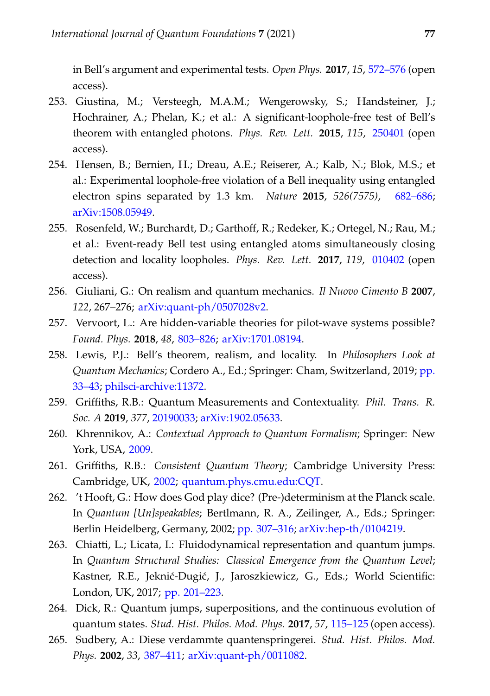in Bell's argument and experimental tests. *Open Phys.* **2017**, *15*, [572–576](https://doi.org/10.1515/phys-2017-0067) (open access).

- <span id="page-30-0"></span>253. Giustina, M.; Versteegh, M.A.M.; Wengerowsky, S.; Handsteiner, J.; Hochrainer, A.; Phelan, K.; et al.: A significant-loophole-free test of Bell's theorem with entangled photons. *Phys. Rev. Lett.* **2015**, *115*, [250401](https://doi.org/10.1103/PhysRevLett.115.250401) (open access).
- 254. Hensen, B.; Bernien, H.; Dreau, A.E.; Reiserer, A.; Kalb, N.; Blok, M.S.; et al.: Experimental loophole-free violation of a Bell inequality using entangled electron spins separated by 1.3 km. *Nature* **2015**, *526(7575)*, [682–686;](https://doi.org/10.1038/nature15759) [arXiv:1508.05949.](https://arxiv.org/abs/1508.05949)
- <span id="page-30-1"></span>255. Rosenfeld, W.; Burchardt, D.; Garthoff, R.; Redeker, K.; Ortegel, N.; Rau, M.; et al.: Event-ready Bell test using entangled atoms simultaneously closing detection and locality loopholes. *Phys. Rev. Lett.* **2017**, *119*, [010402](https://doi.org/10.1103/PhysRevLett.119.010402) (open access).
- <span id="page-30-2"></span>256. Giuliani, G.: On realism and quantum mechanics. *Il Nuovo Cimento B* **2007**, *122*, 267–276; [arXiv:quant-ph/0507028v2.](https://arxiv.org/abs/quant-ph/0507028v2)
- 257. Vervoort, L.: Are hidden-variable theories for pilot-wave systems possible? *Found. Phys.* **2018**, *48*, [803–826;](https://doi.org/10.1007/s10701-018-0184-x) [arXiv:1701.08194.](https://arxiv.org/abs/1701.08194)
- <span id="page-30-3"></span>258. Lewis, P.J.: Bell's theorem, realism, and locality. In *Philosophers Look at Quantum Mechanics*; Cordero A., Ed.; Springer: Cham, Switzerland, 2019; [pp.](https://doi.org/10.1007/978-3-030-15659-6_3) [33–43;](https://doi.org/10.1007/978-3-030-15659-6_3) [philsci-archive:11372.](http://philsci-archive.pitt.edu/11372/)
- <span id="page-30-4"></span>259. Griffiths, R.B.: Quantum Measurements and Contextuality. *Phil. Trans. R. Soc. A* **2019**, *377*, [20190033;](https://doi.org/10.1098/rsta.2019.0033) [arXiv:1902.05633.](https://arxiv.org/abs/1902.05633)
- <span id="page-30-5"></span>260. Khrennikov, A.: *Contextual Approach to Quantum Formalism*; Springer: New York, USA, [2009.](https://doi.org/10.1007/978-1-4020-9593-1)
- <span id="page-30-6"></span>261. Griffiths, R.B.: *Consistent Quantum Theory*; Cambridge University Press: Cambridge, UK, [2002;](https://doi.org/10.1017/CBO9780511606052) [quantum.phys.cmu.edu:CQT.](http://quantum.phys.cmu.edu/CQT/)
- <span id="page-30-7"></span>262. 't Hooft, G.: How does God play dice? (Pre-)determinism at the Planck scale. In *Quantum [Un]speakables*; Bertlmann, R. A., Zeilinger, A., Eds.; Springer: Berlin Heidelberg, Germany, 2002; [pp. 307–316;](https://doi.org/10.1007/978-3-662-05032-3_22) [arXiv:hep-th/0104219.](https://arxiv.org/abs/hep-th/0104219)
- <span id="page-30-8"></span>263. Chiatti, L.; Licata, I.: Fluidodynamical representation and quantum jumps. In *Quantum Structural Studies: Classical Emergence from the Quantum Level*; Kastner, R.E., Jeknić-Dugić, J., Jaroszkiewicz, G., Eds.; World Scientific: London, UK, 2017; [pp. 201–223.](https://doi.org/10.1142/9781786341419_0008)
- 264. Dick, R.: Quantum jumps, superpositions, and the continuous evolution of quantum states. *Stud. Hist. Philos. Mod. Phys.* **2017**, *57*, [115–125](https://doi.org/10.1016/j.shpsb.2016.10.003) (open access).
- <span id="page-30-9"></span>265. Sudbery, A.: Diese verdammte quantenspringerei. *Stud. Hist. Philos. Mod. Phys.* **2002**, *33*, [387–411;](https://doi.org/10.1016/S1369-8486(02)00003-1) [arXiv:quant-ph/0011082.](https://arxiv.org/abs/quant-ph/0011082)